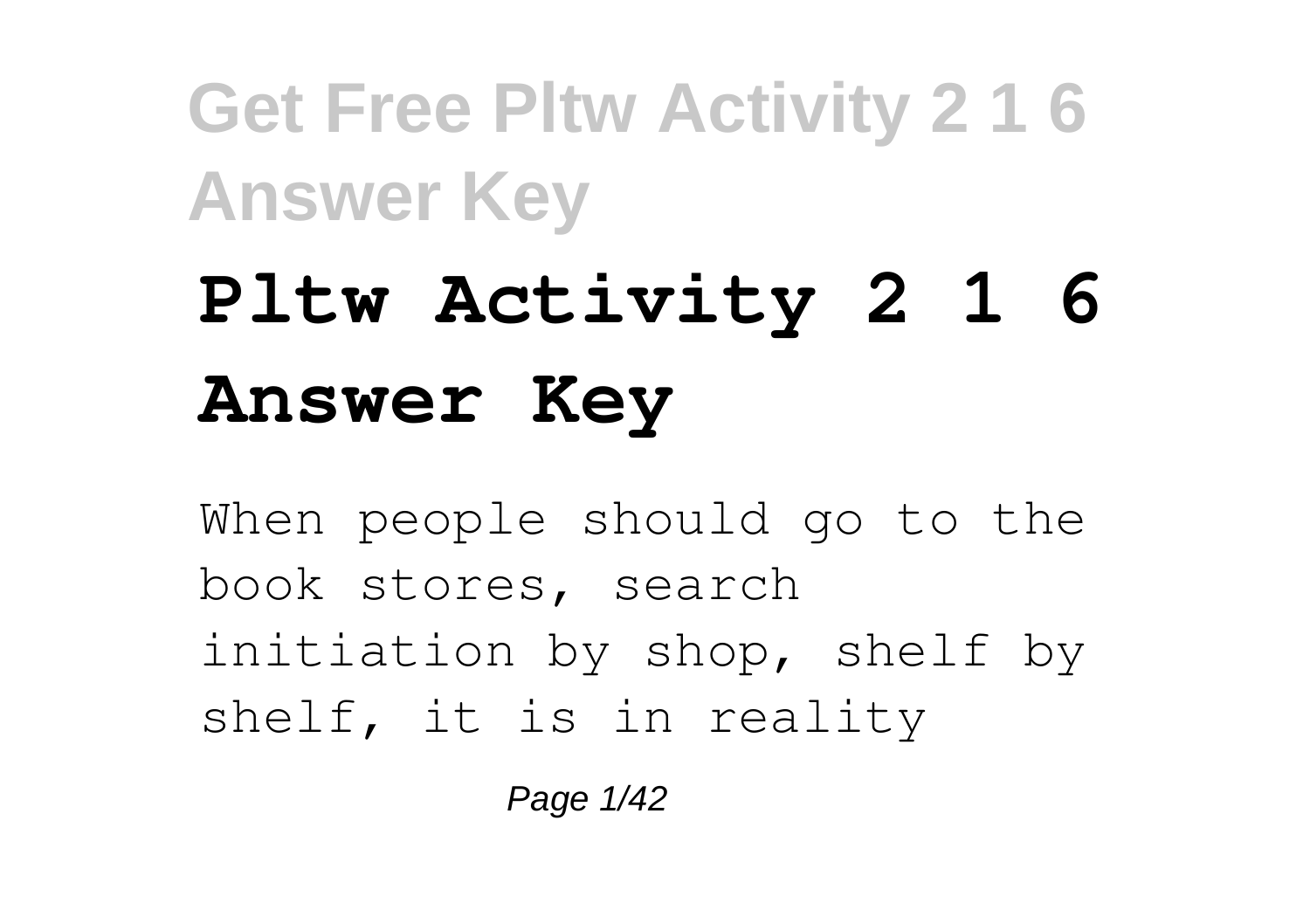# **Pltw Activity 2 1 6 Answer Key**

When people should go to the book stores, search initiation by shop, shelf by shelf, it is in reality

Page 1/42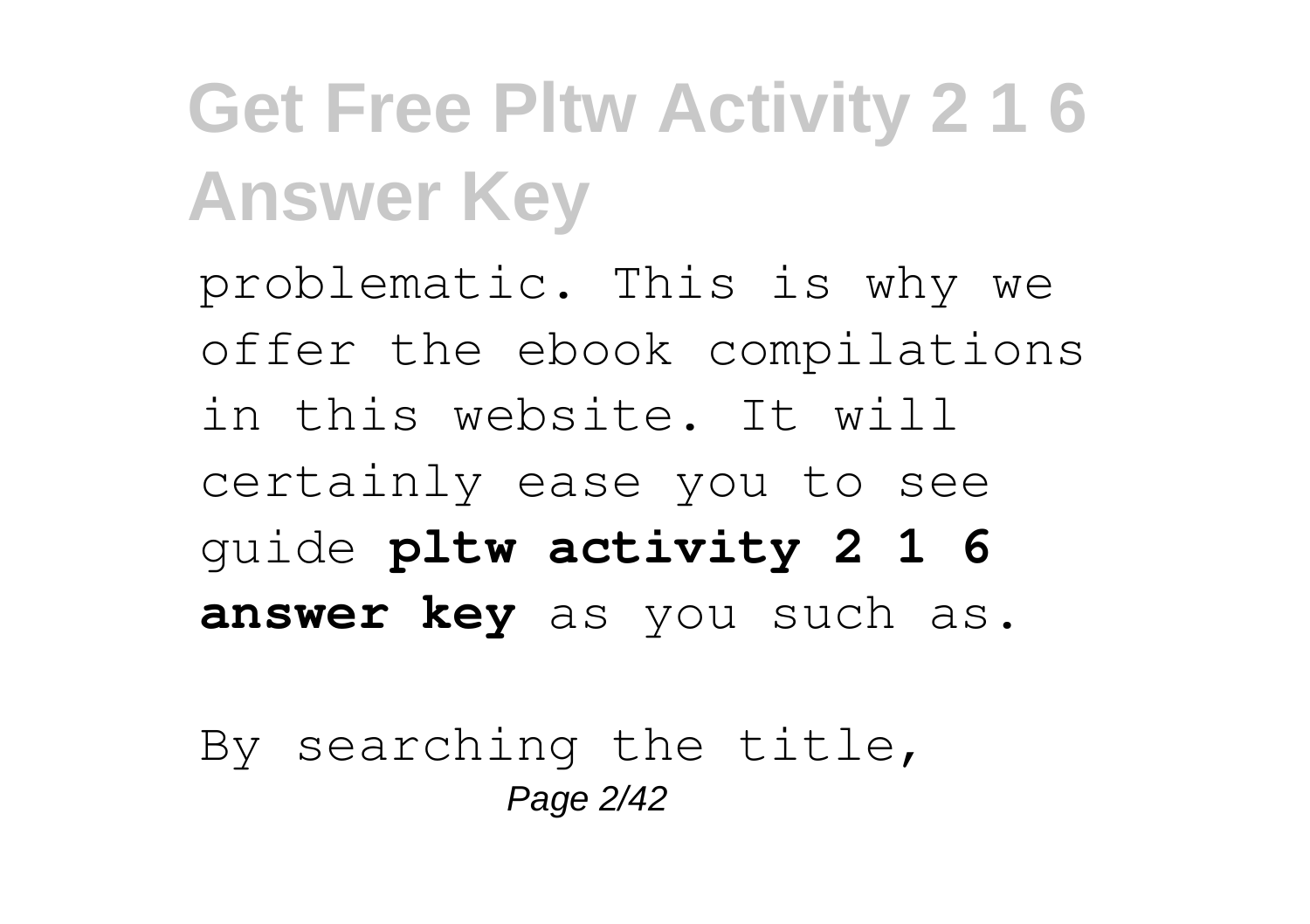problematic. This is why we offer the ebook compilations in this website. It will certainly ease you to see guide **pltw activity 2 1 6 answer key** as you such as.

By searching the title, Page 2/42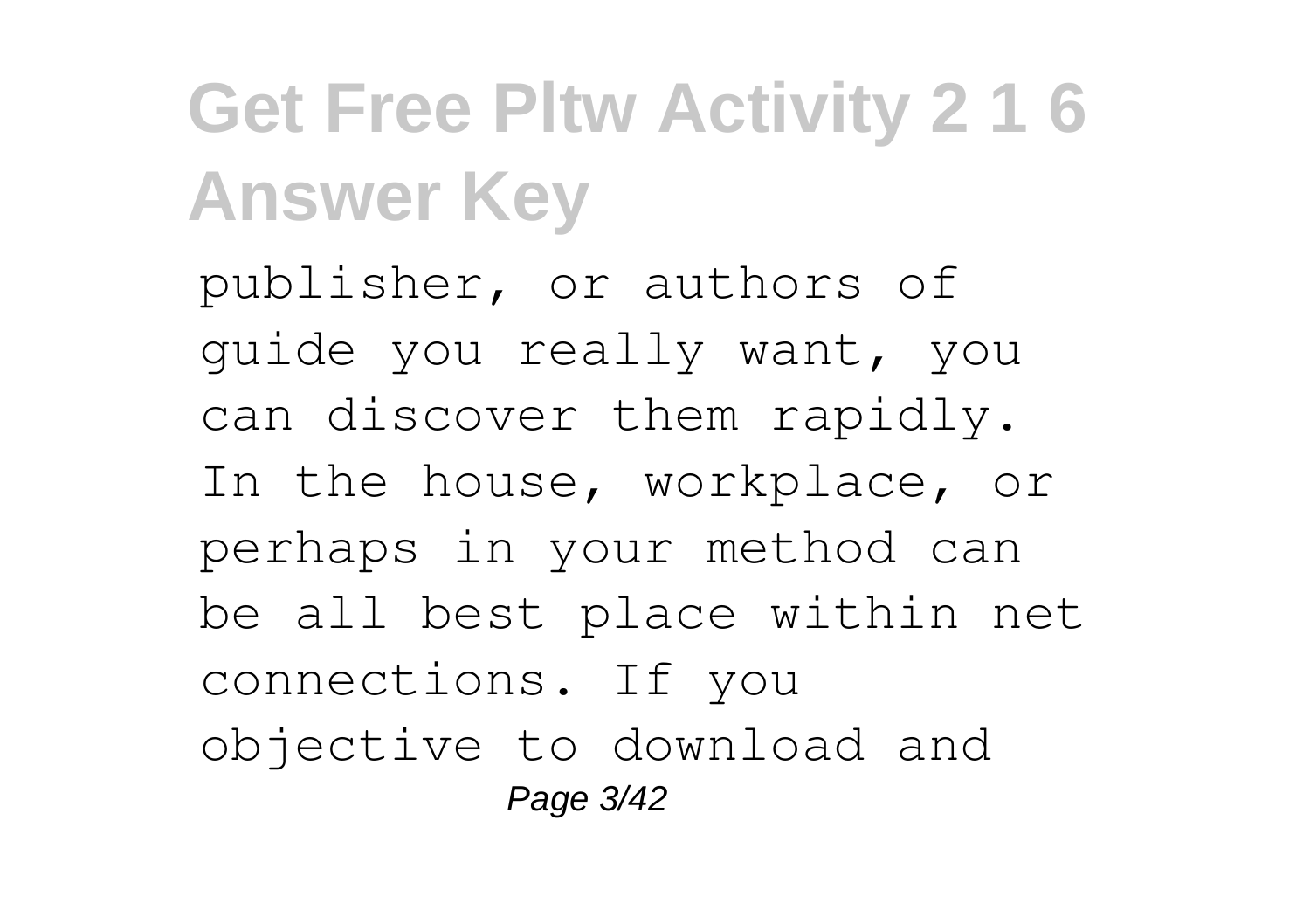publisher, or authors of guide you really want, you can discover them rapidly. In the house, workplace, or perhaps in your method can be all best place within net connections. If you objective to download and Page 3/42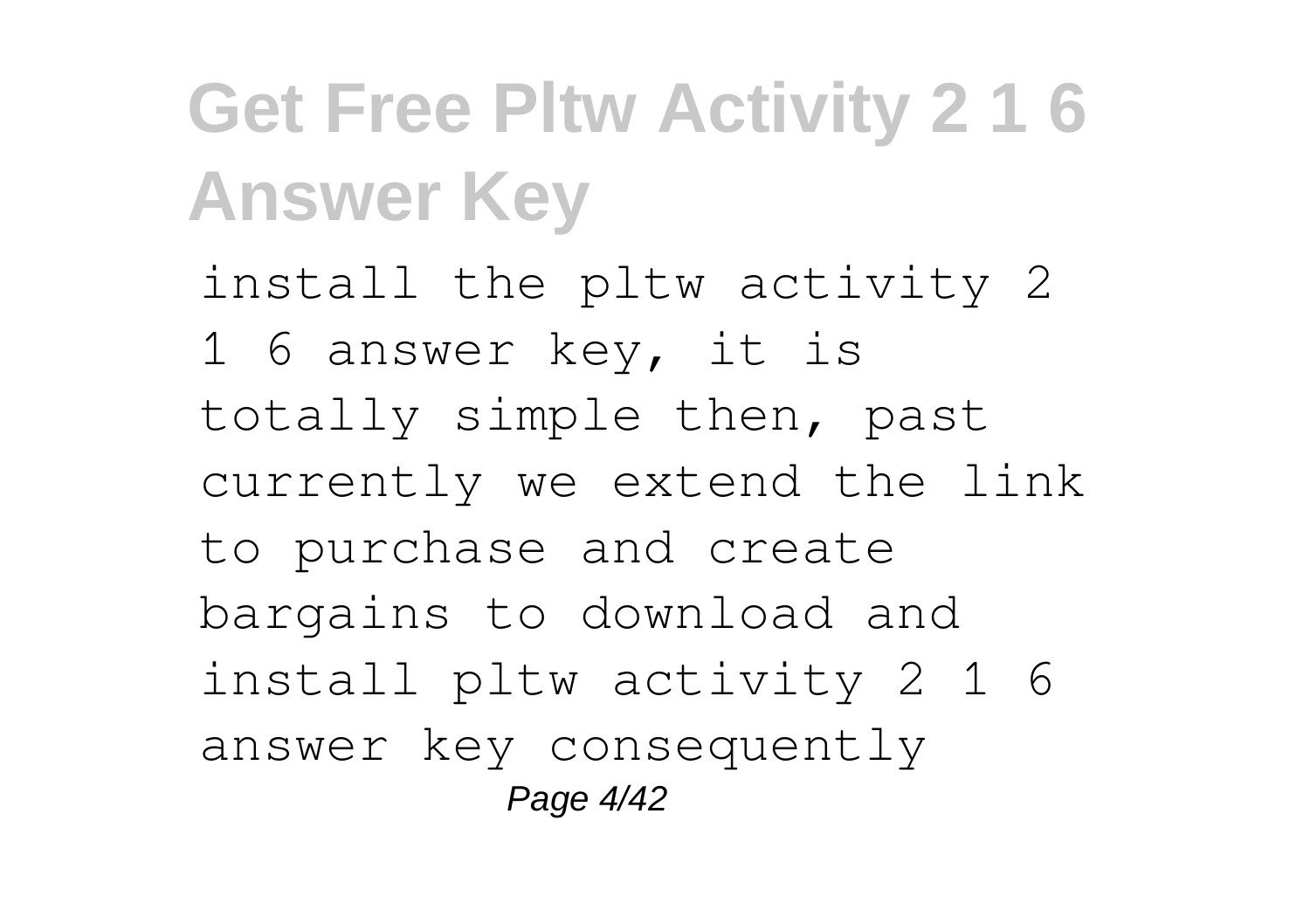install the pltw activity 2 1 6 answer key, it is totally simple then, past currently we extend the link to purchase and create bargains to download and install pltw activity 2 1 6 answer key consequently Page 4/42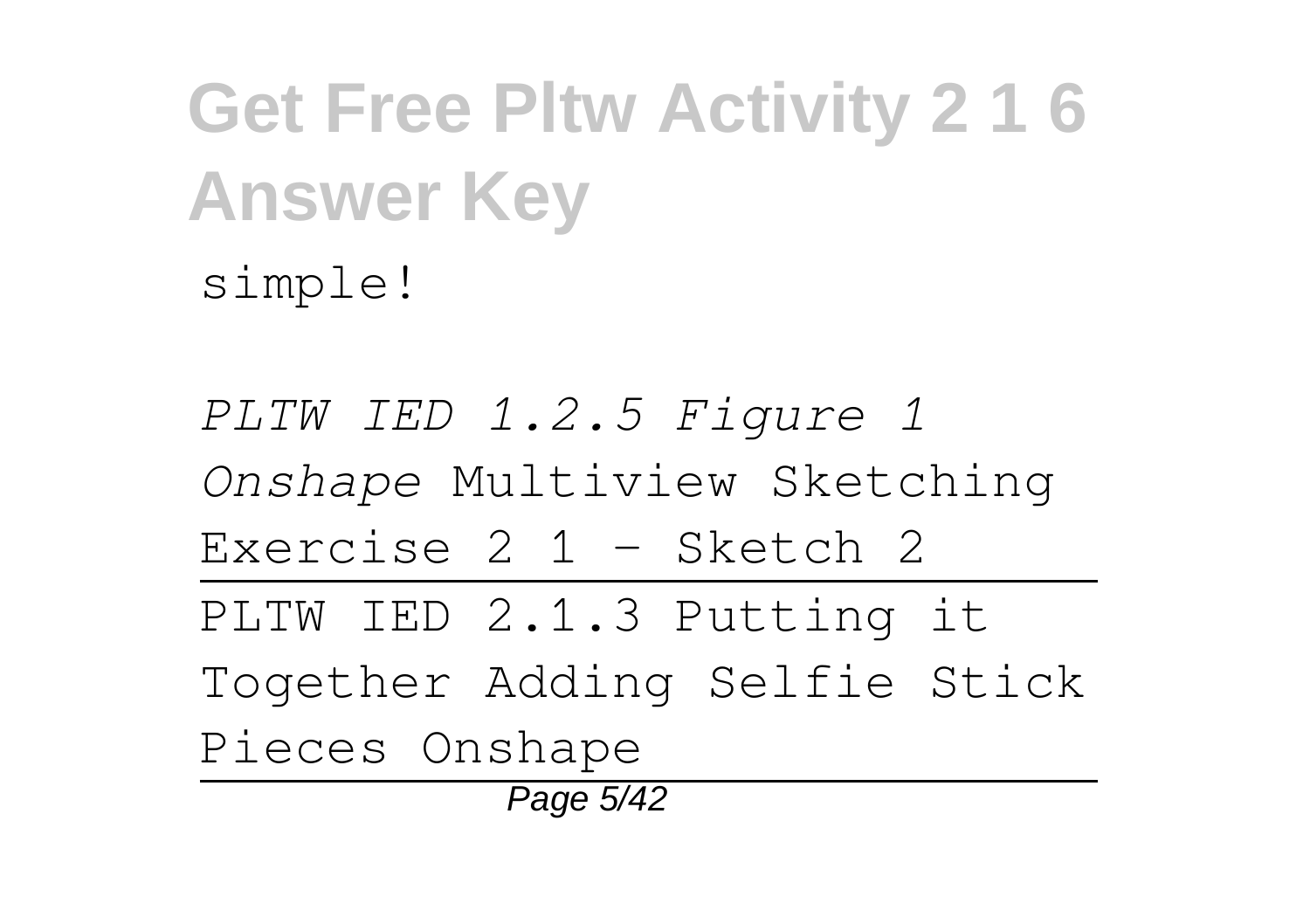*PLTW IED 1.2.5 Figure 1 Onshape* Multiview Sketching Exercise 2 1 - Sketch 2 PLTW IED 2.1.3 Putting it Together Adding Selfie Stick Pieces Onshape Page 5/42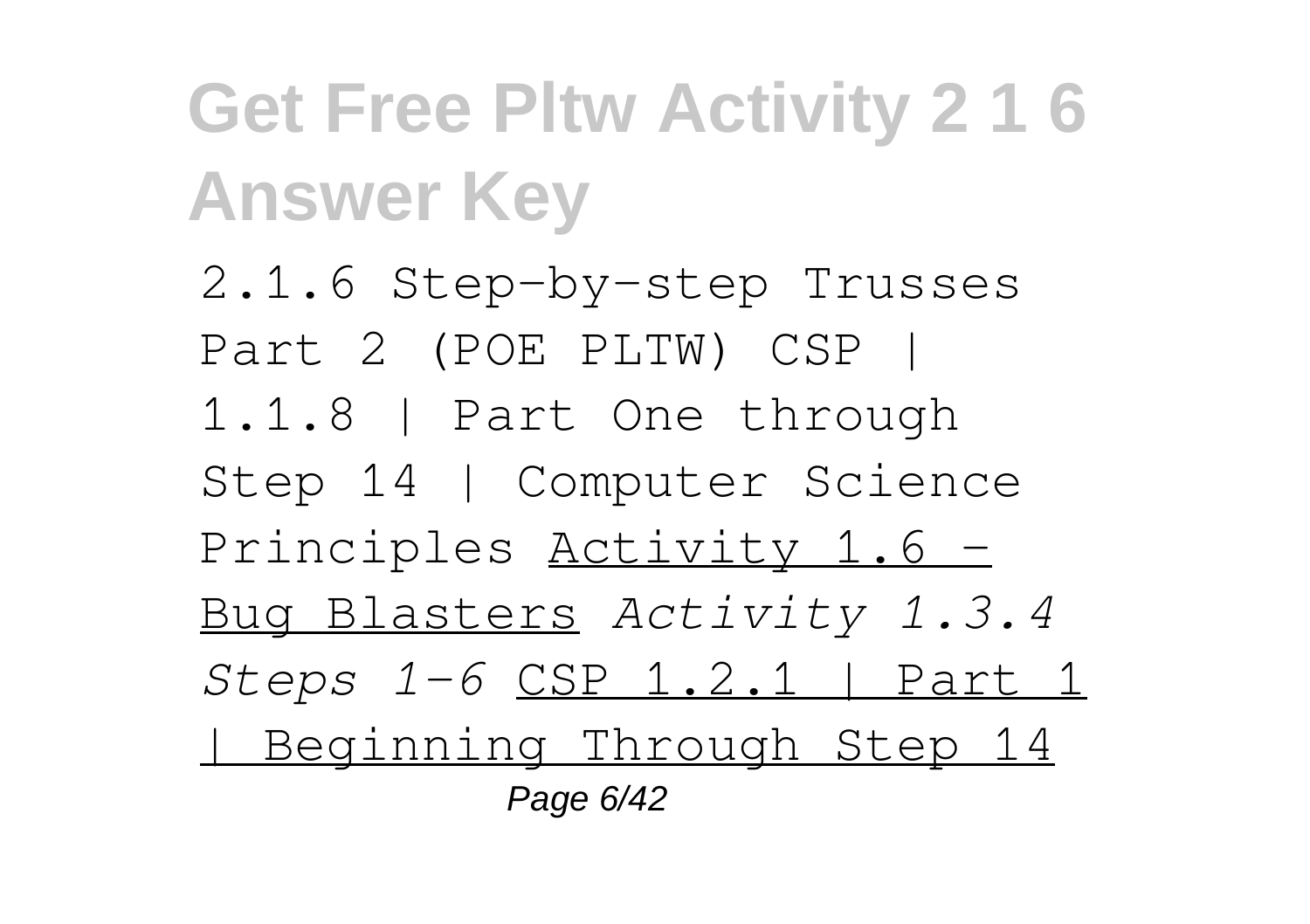2.1.6 Step-by-step Trusses Part 2 (POE PLTW) CSP | 1.1.8 | Part One through Step 14 | Computer Science Principles Activity 1.6 -Bug Blasters *Activity 1.3.4 Steps 1-6* CSP 1.2.1 | Part 1 | Beginning Through Step 14 Page 6/42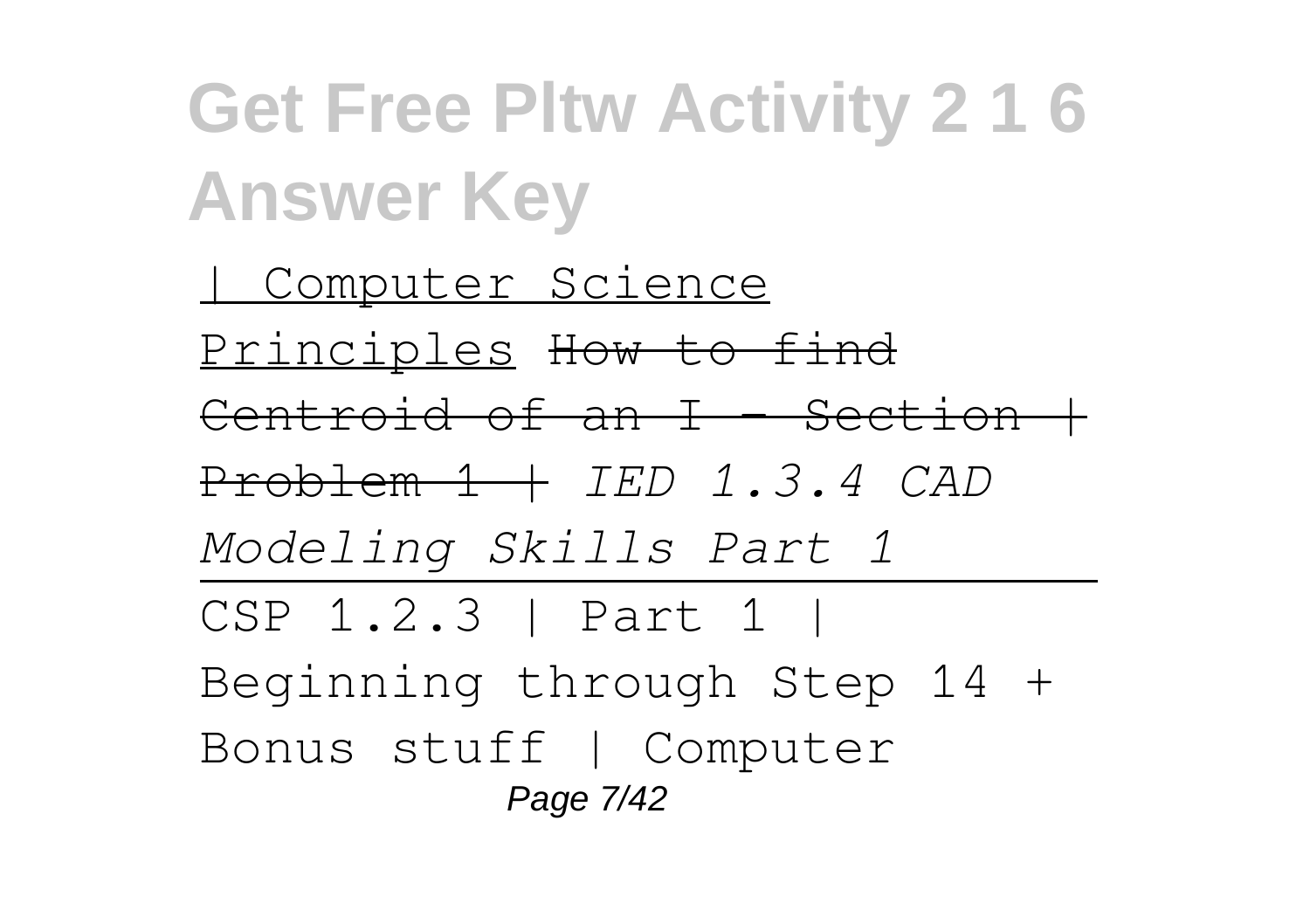| Computer Science Principles How to find Centroid of an  $I$  - Section  $+$ Problem 1 | *IED 1.3.4 CAD Modeling Skills Part 1* CSP 1.2.3 | Part 1 | Beginning through Step 14 + Bonus stuff | Computer Page 7/42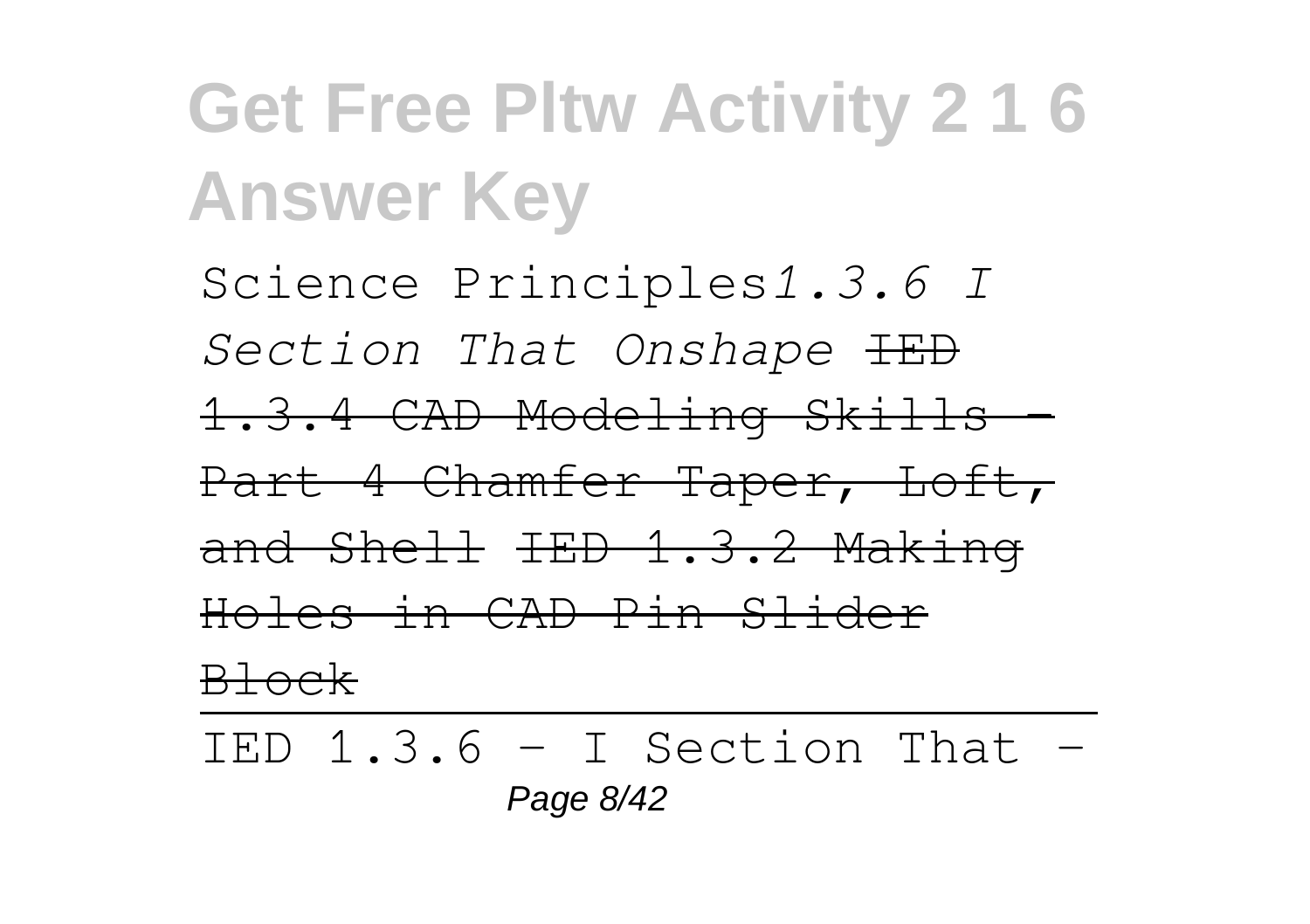Science Principles*1.3.6 I Section That Onshape* IED 1.3.4 CAD Modeling Skills - Part 4 Chamfer Taper, Loft, and Shell IED 1.3.2 Making Holes in CAD Pin Slider Block

IED  $1.3.6 - I$  Section That -Page 8/42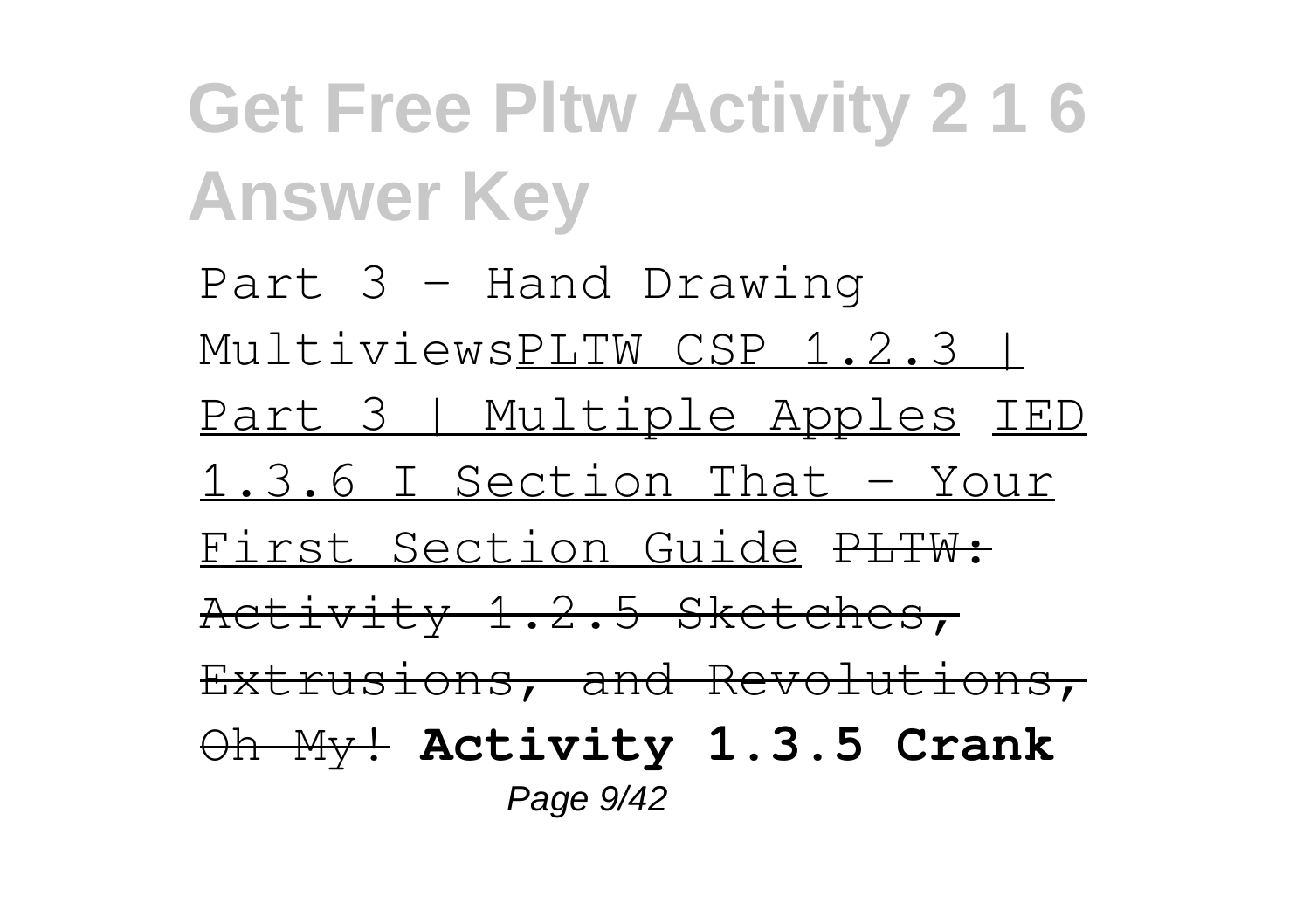Part 3 - Hand Drawing MultiviewsPLTW CSP 1.2.3 | Part 3 | Multiple Apples IED 1.3.6 I Section That - Your First Section Guide PLTW: Activity 1.2.5 Sketches, Extrusions, and Revolutions, Oh My! **Activity 1.3.5 Crank** Page 9/42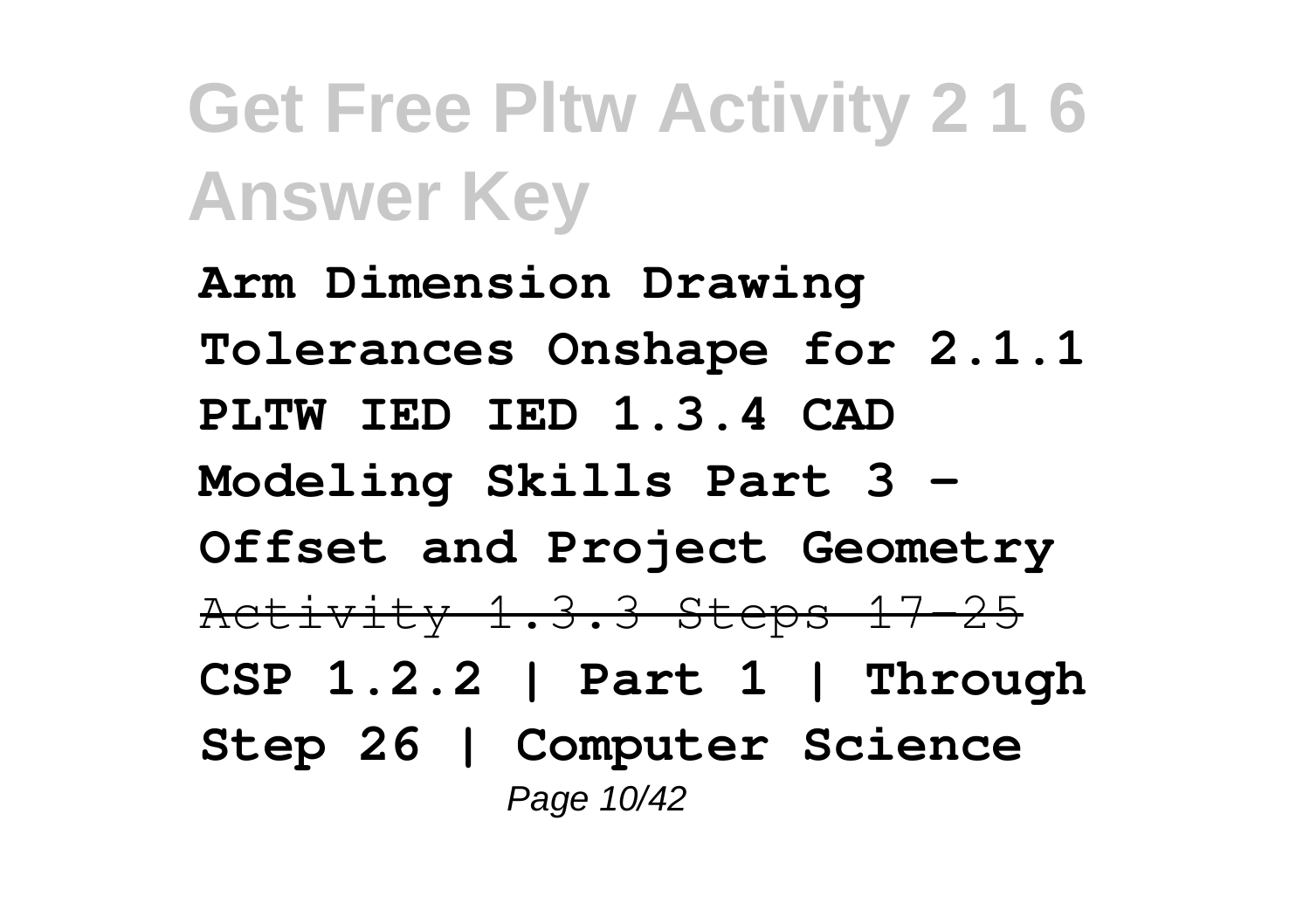**Arm Dimension Drawing Tolerances Onshape for 2.1.1 PLTW IED IED 1.3.4 CAD Modeling Skills Part 3 - Offset and Project Geometry** Activity 1.3.3 Steps 17-25 **CSP 1.2.2 | Part 1 | Through Step 26 | Computer Science** Page 10/42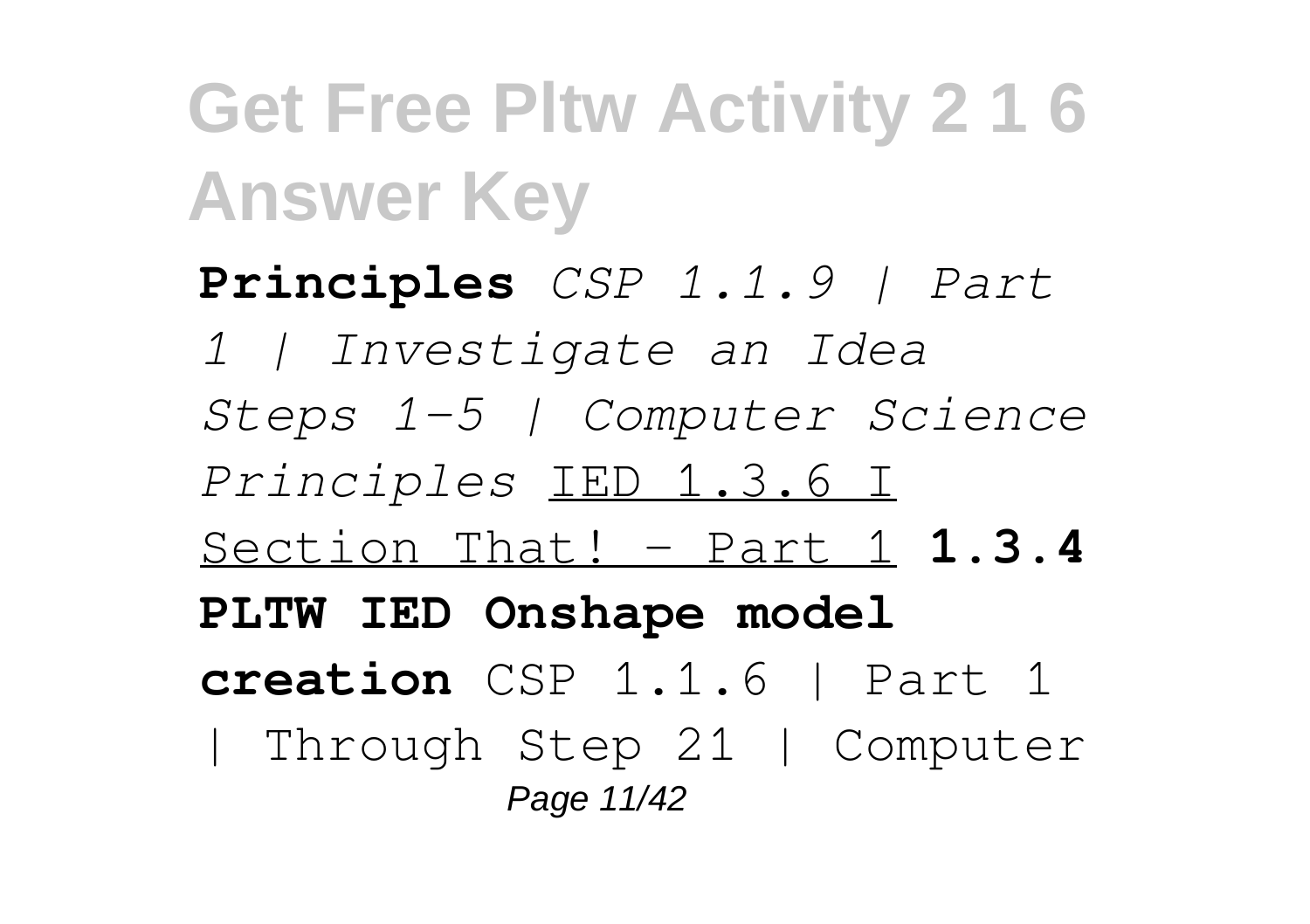**Principles** *CSP 1.1.9 | Part 1 | Investigate an Idea Steps 1-5 | Computer Science Principles* IED 1.3.6 I Section That! - Part 1 **1.3.4 PLTW IED Onshape model creation** CSP 1.1.6 | Part 1 | Through Step 21 | Computer Page 11/42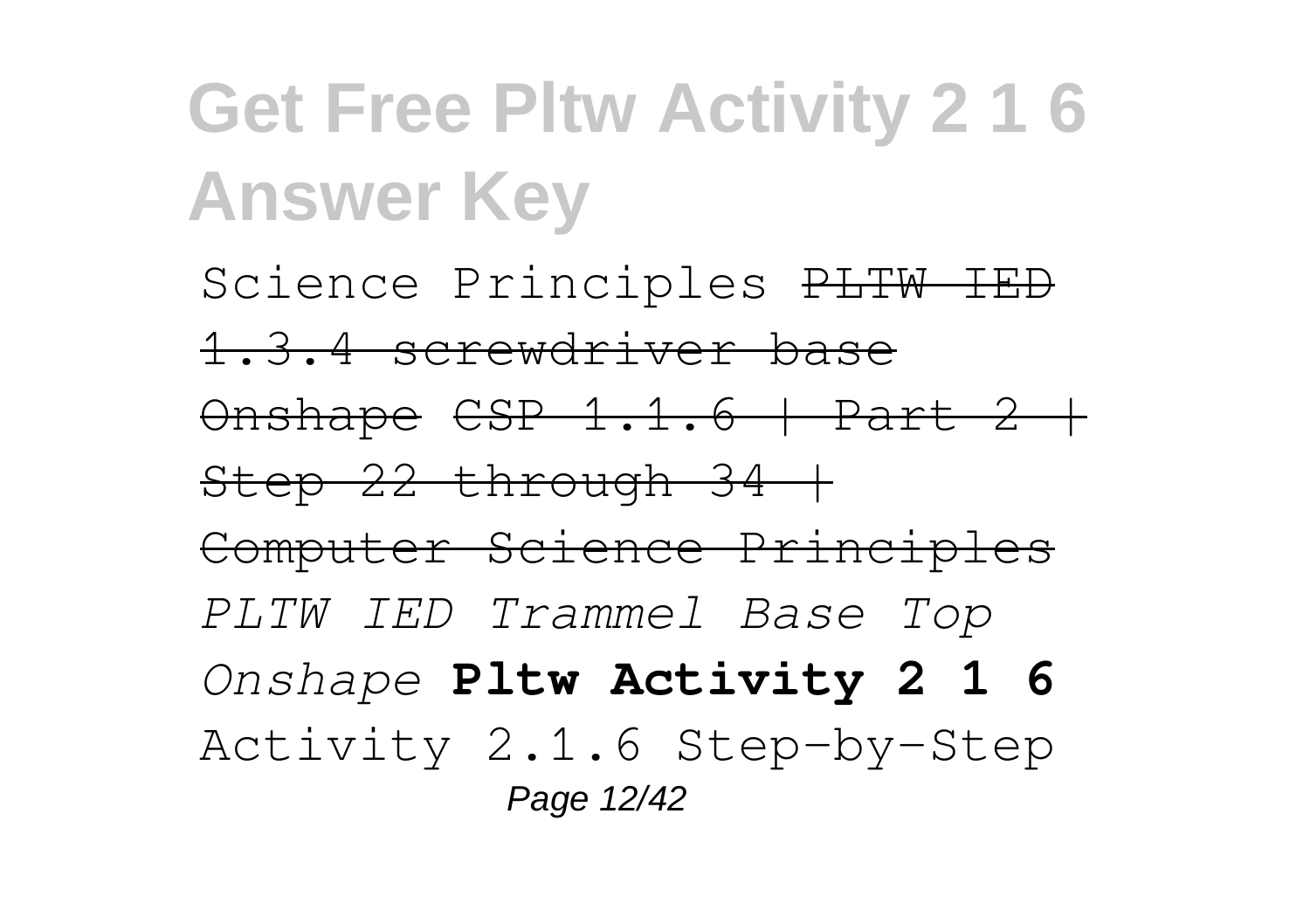Science Principles PLTW IED 1.3.4 screwdriver base  $\theta$ nshape CSP 1.1.6 | Part 2 |  $Step 22$  through  $34 +$ Computer Science Principles *PLTW IED Trammel Base Top Onshape* **Pltw Activity 2 1 6** Activity 2.1.6 Step-by-Step Page 12/42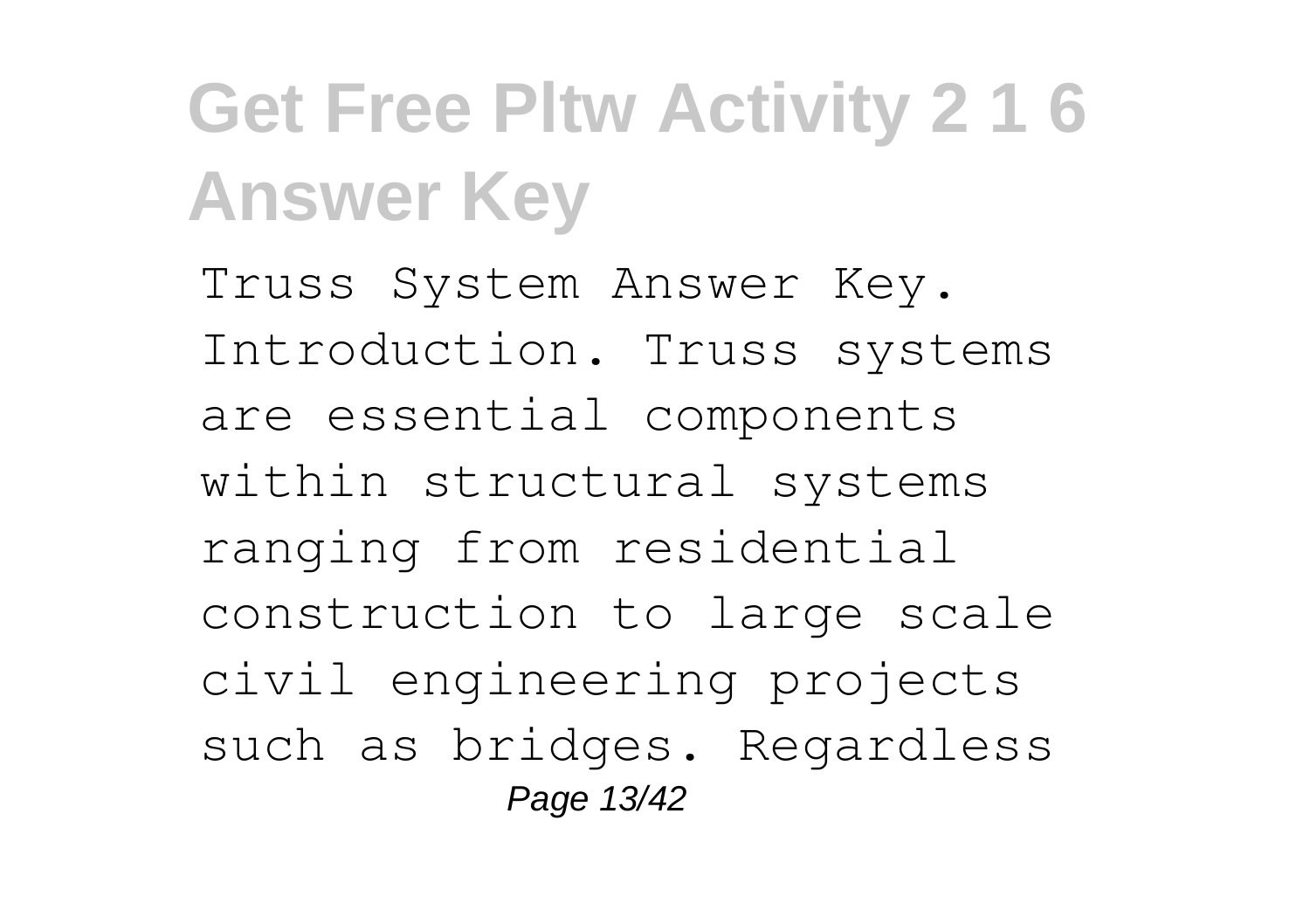Truss System Answer Key. Introduction. Truss systems are essential components within structural systems ranging from residential construction to large scale civil engineering projects such as bridges. Regardless Page 13/42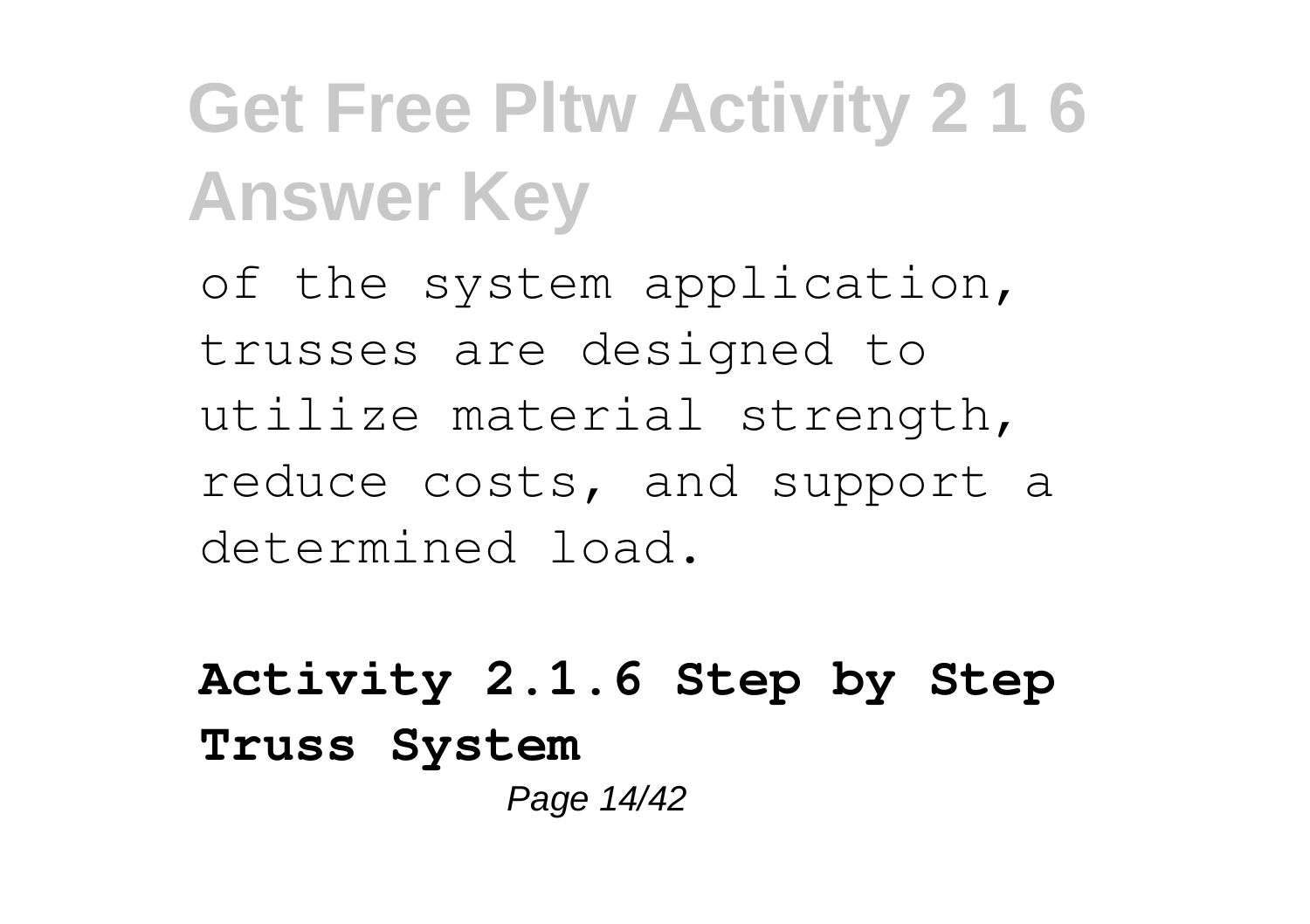of the system application, trusses are designed to utilize material strength, reduce costs, and support a determined load.

**Activity 2.1.6 Step by Step Truss System** Page 14/42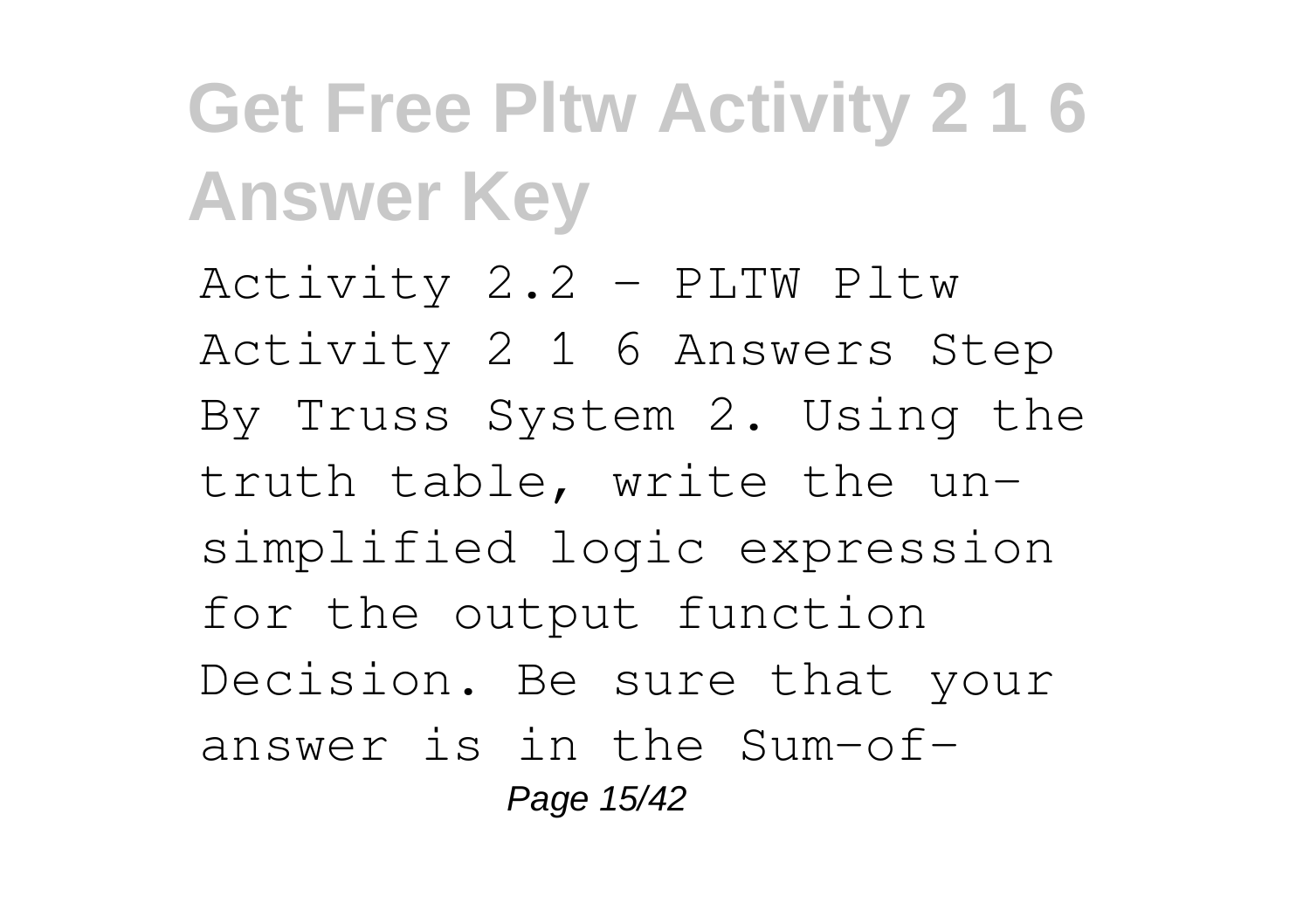Activity 2.2 - PLTW Pltw Activity 2 1 6 Answers Step By Truss System 2. Using the truth table, write the unsimplified logic expression for the output function Decision. Be sure that your answer is in the Sum-of-Page 15/42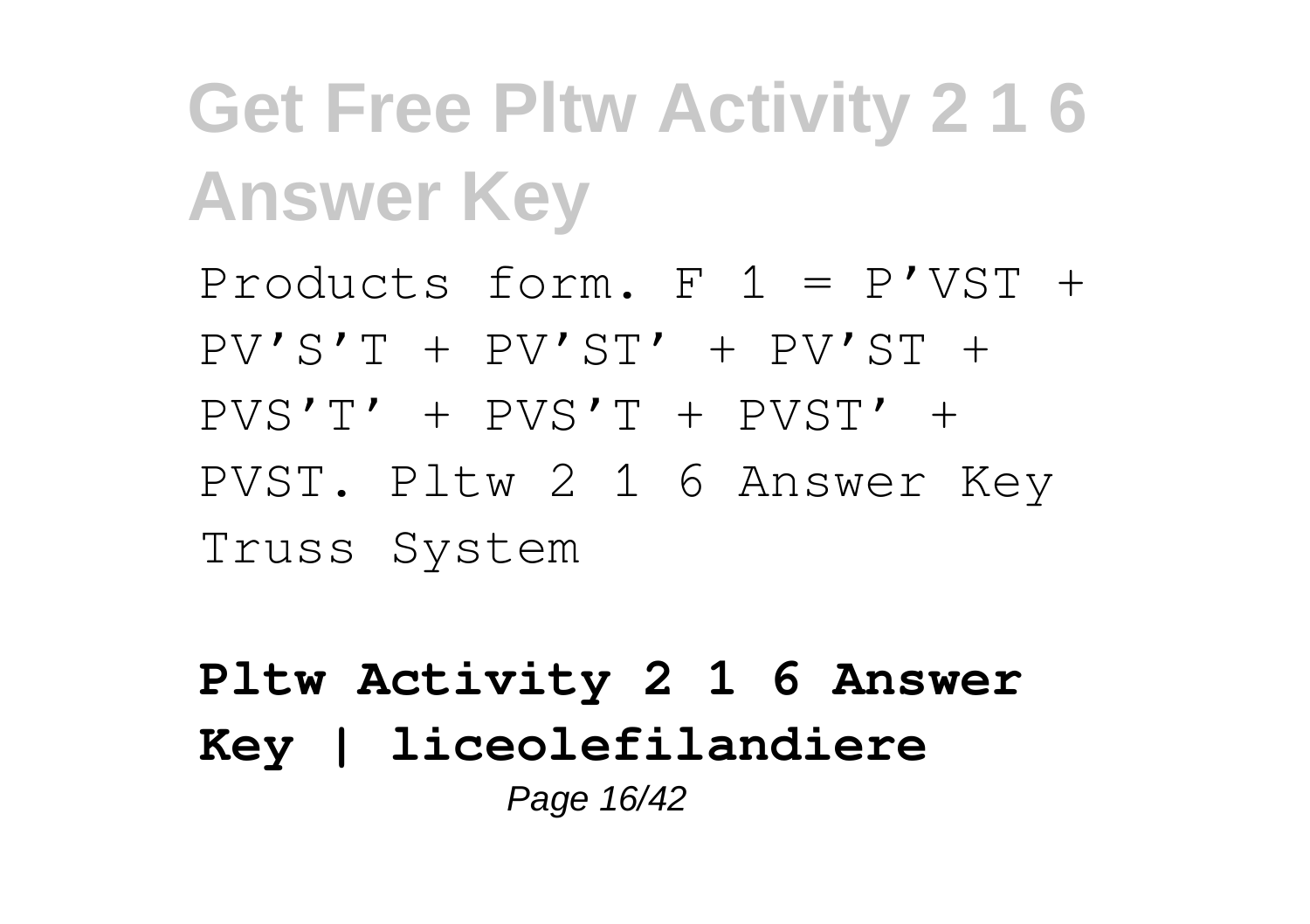Products form.  $F = P'VST +$  $PV'S'T + PV'ST' + PV'ST + TV'ST +$ PVS'T' + PVS'T + PVST' + PVST. Pltw 2 1 6 Answer Key Truss System

### **Pltw Activity 2 1 6 Answer Key | liceolefilandiere** Page 16/42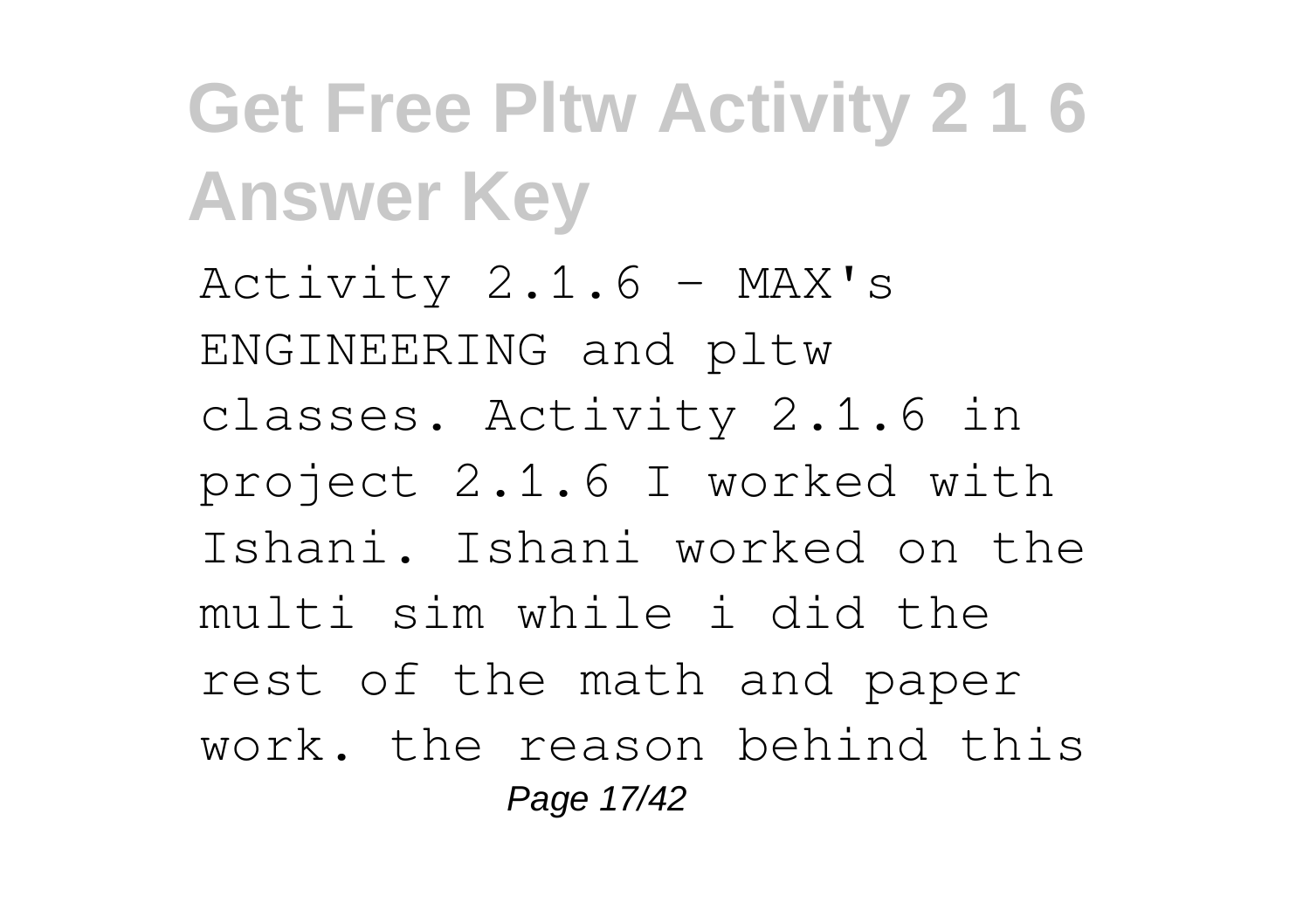**Get Free Pltw Activity 2 1 6 Answer Key** Activity  $2.1.6 - MAX's$ ENGINEERING and pltw classes. Activity 2.1.6 in project 2.1.6 I worked with Ishani. Ishani worked on the multi sim while i did the rest of the math and paper work. the reason behind this Page 17/42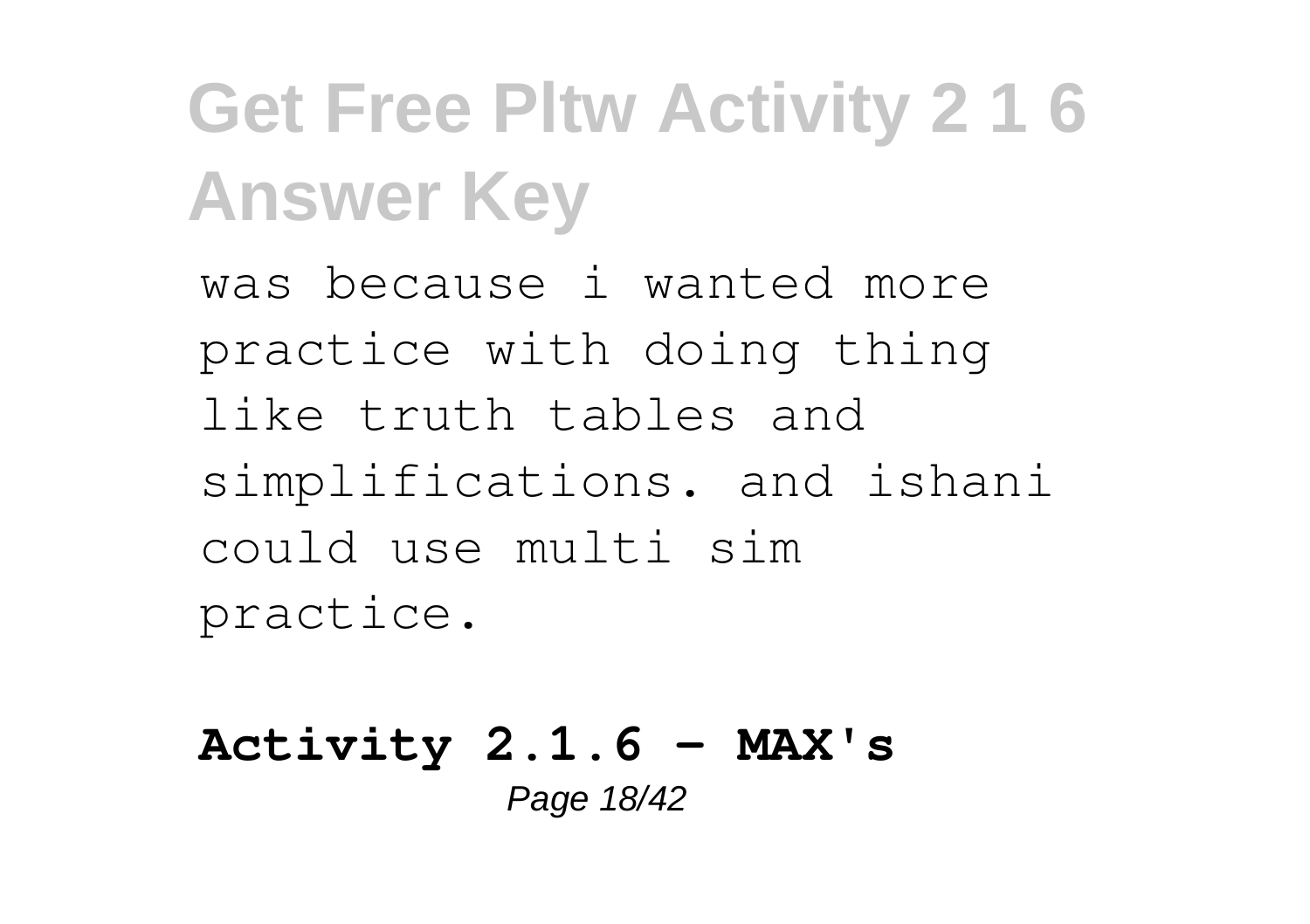was because i wanted more practice with doing thing like truth tables and simplifications. and ishani could use multi sim practice.

**Activity 2.1.6 - MAX's** Page 18/42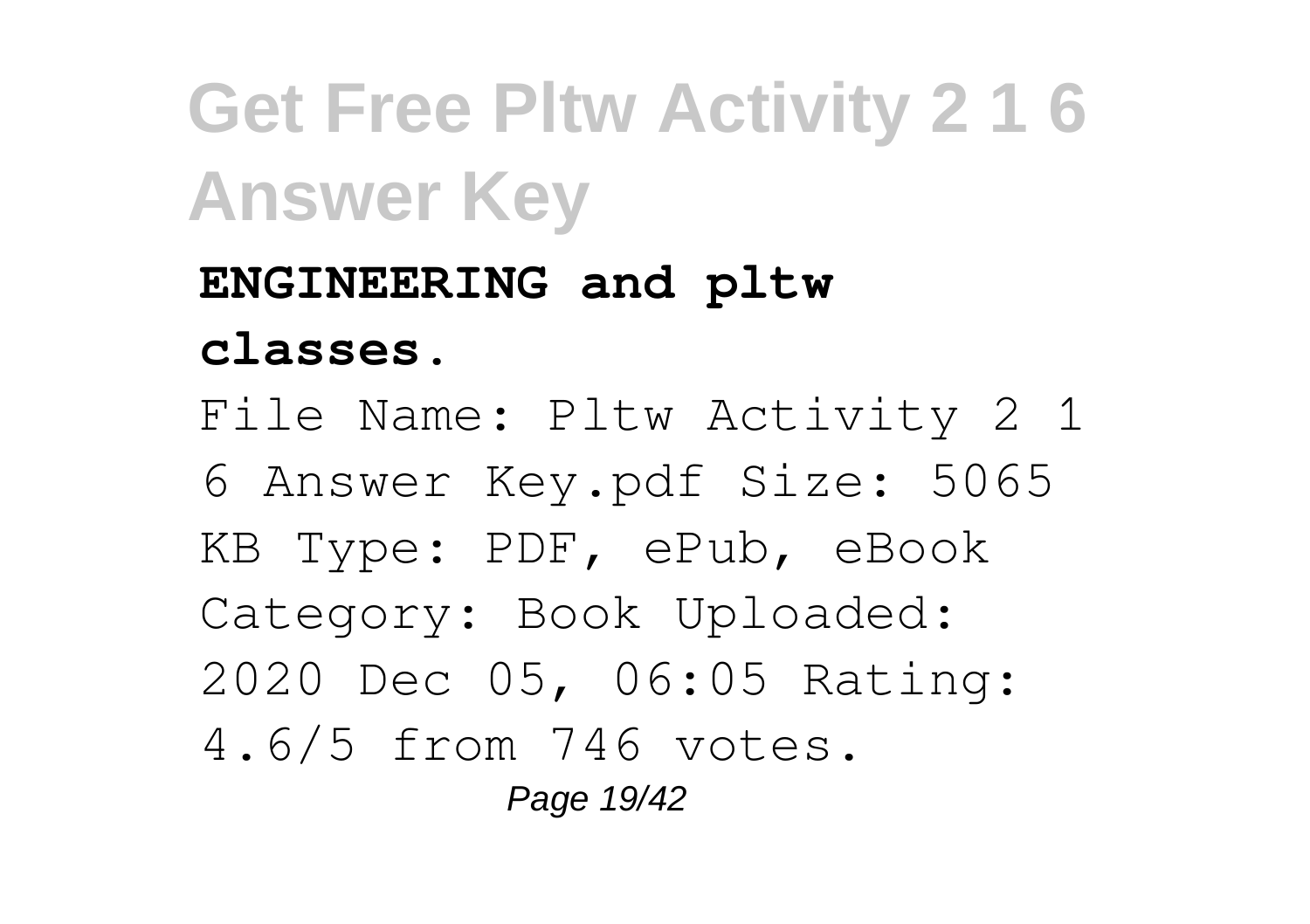**ENGINEERING and pltw classes.** File Name: Pltw Activity 2 1 6 Answer Key.pdf Size: 5065 KB Type: PDF, ePub, eBook Category: Book Uploaded: 2020 Dec 05, 06:05 Rating: 4.6/5 from 746 votes. Page 19/42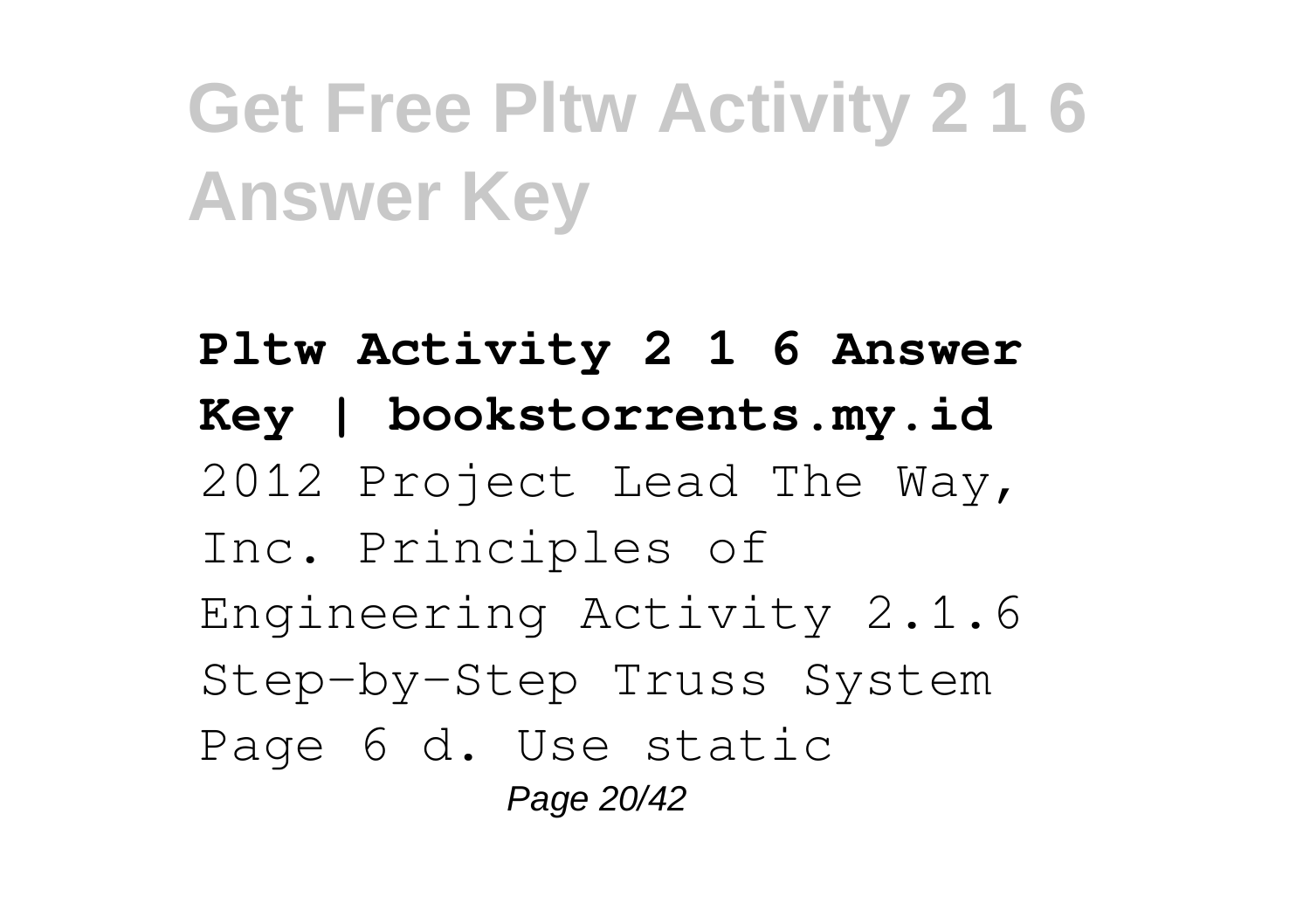**Pltw Activity 2 1 6 Answer Key | bookstorrents.my.id** 2012 Project Lead The Way, Inc. Principles of Engineering Activity 2.1.6 Step-by-Step Truss System Page 6 d. Use static Page 20/42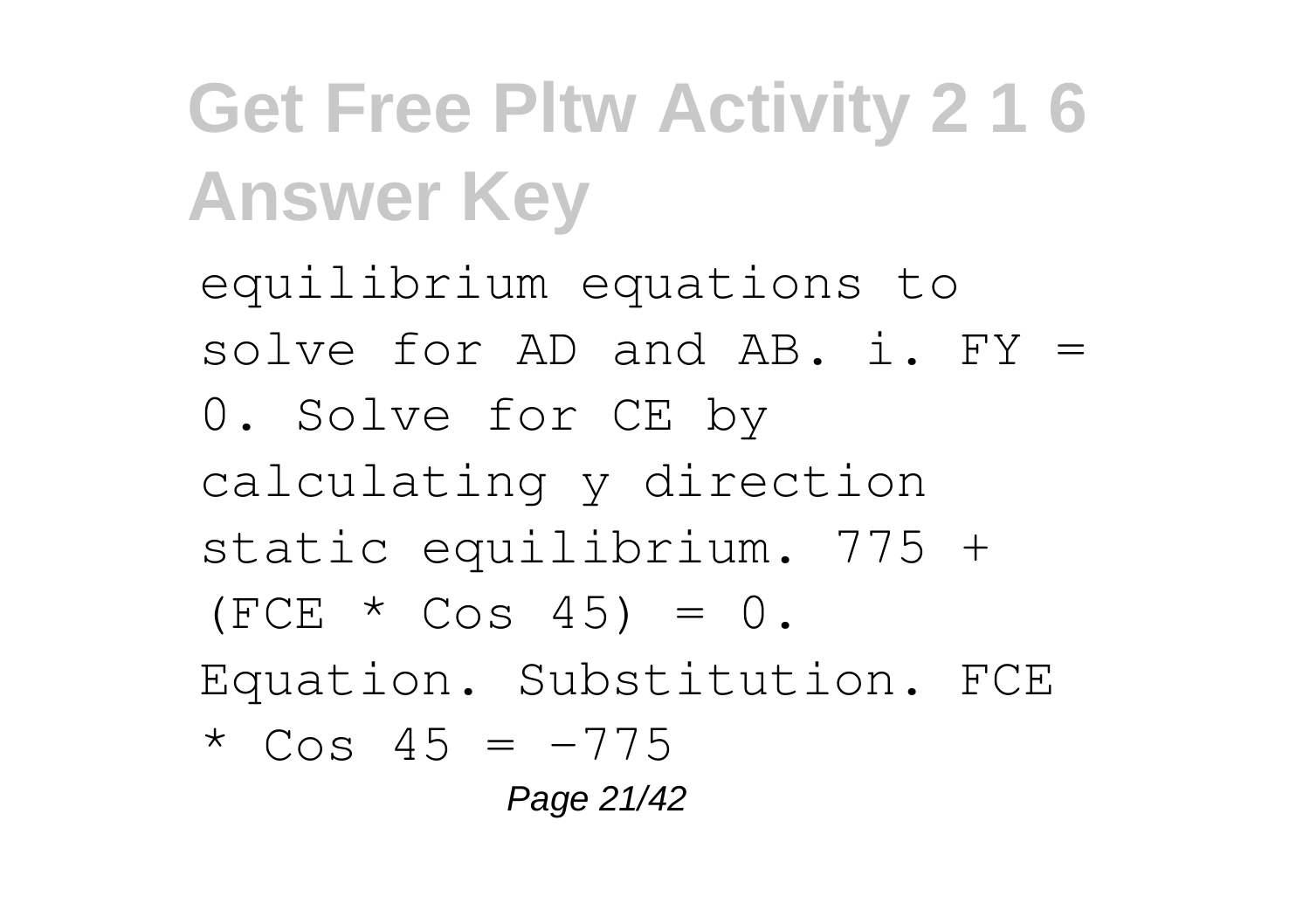equilibrium equations to solve for AD and AB. i. FY = 0. Solve for CE by calculating y direction static equilibrium. 775 +  $(FCE * Cos 45) = 0.$ Equation. Substitution. FCE  $*$  Cos 45 =  $-775$ Page 21/42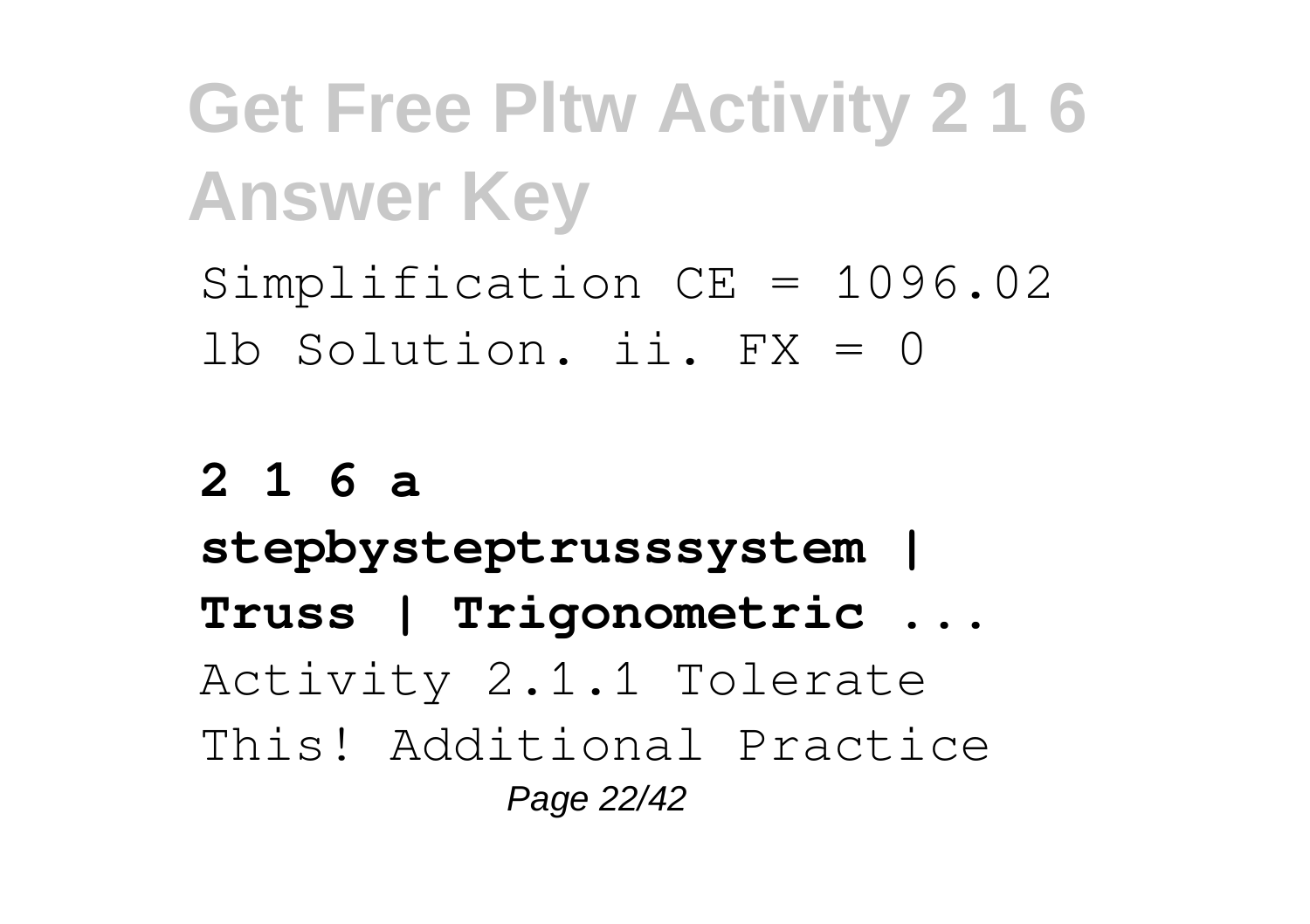Simplification CE = 1096.02 lb Solution. ii. FX = 0

#### **2 1 6 a**

**stepbysteptrusssystem | Truss | Trigonometric ...** Activity 2.1.1 Tolerate This! Additional Practice Page 22/42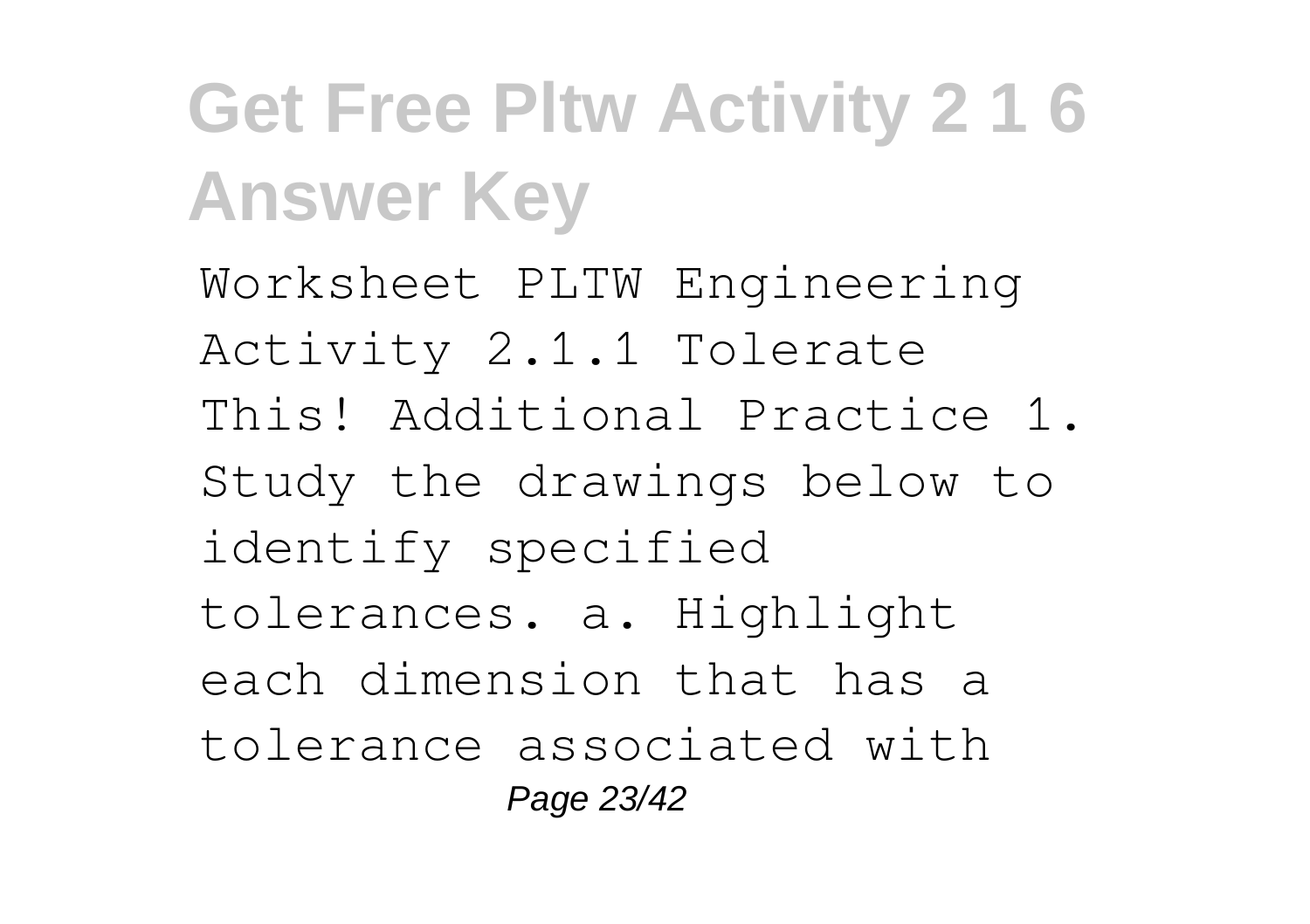Worksheet PLTW Engineering Activity 2.1.1 Tolerate This! Additional Practice 1. Study the drawings below to identify specified tolerances. a. Highlight each dimension that has a tolerance associated with Page 23/42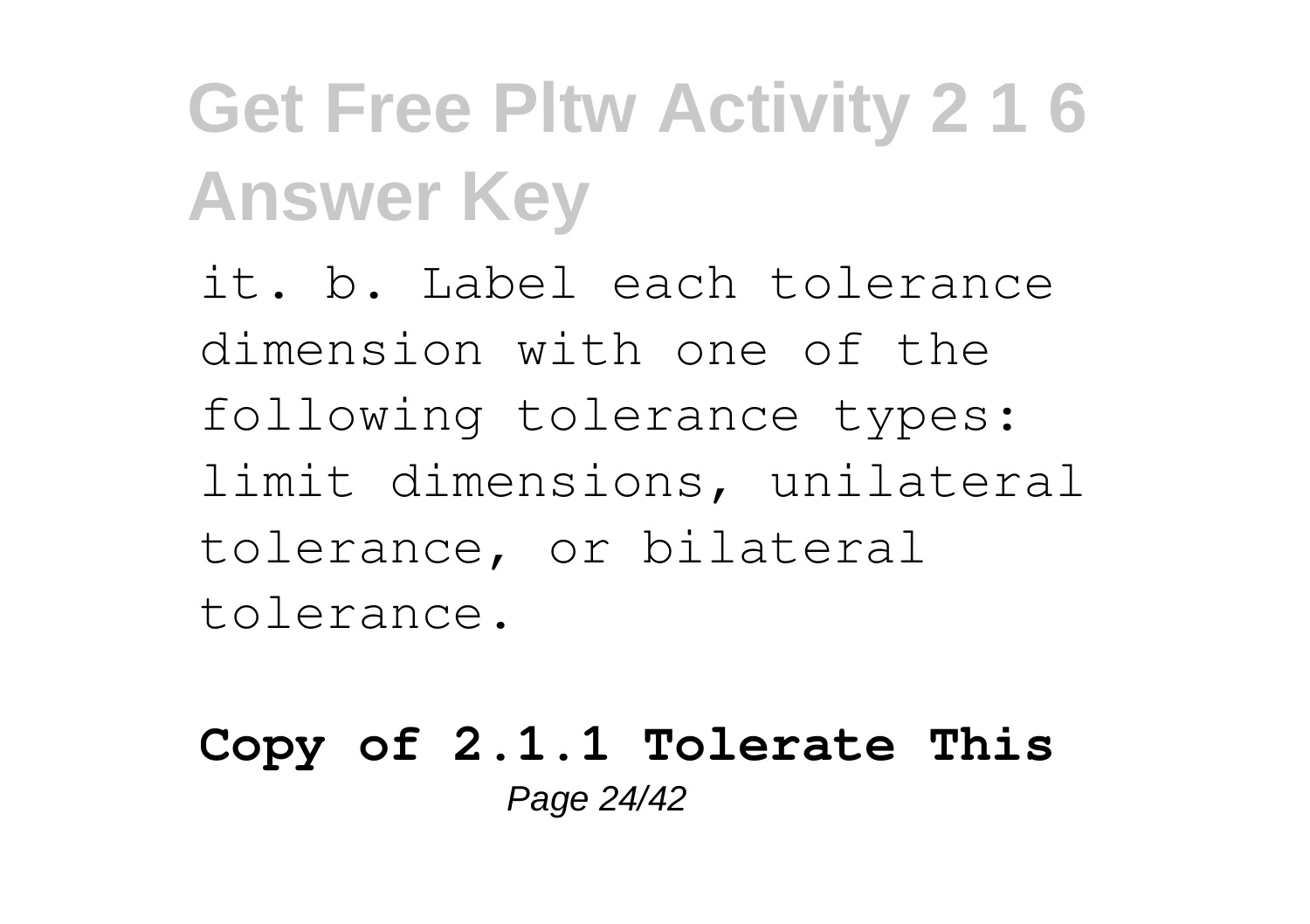it. b. Label each tolerance dimension with one of the following tolerance types: limit dimensions, unilateral tolerance, or bilateral tolerance.

#### **Copy of 2.1.1 Tolerate This** Page 24/42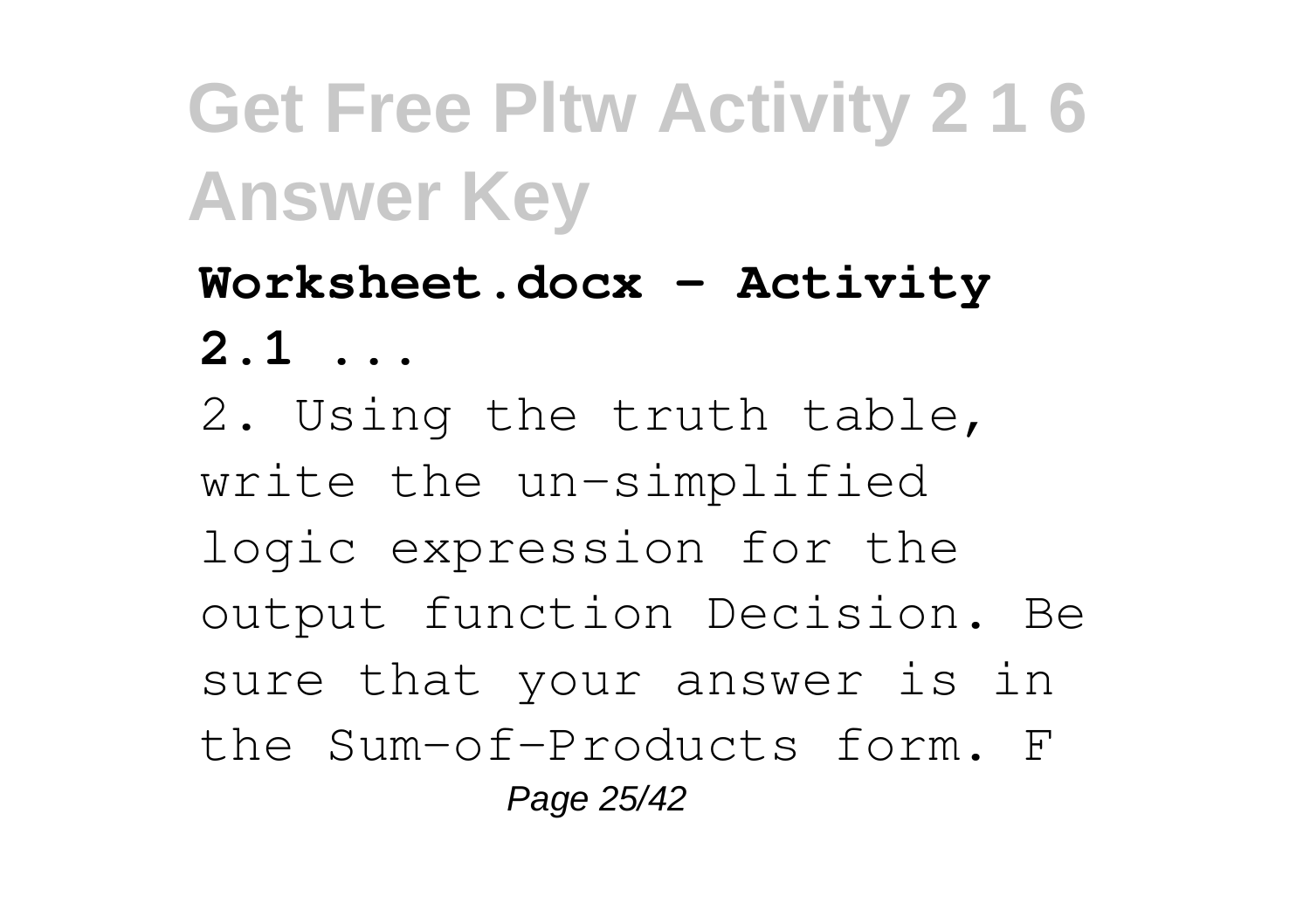**Worksheet.docx - Activity 2.1 ...** 2. Using the truth table, write the un-simplified logic expression for the output function Decision. Be sure that your answer is in the Sum-of-Products form. F Page 25/42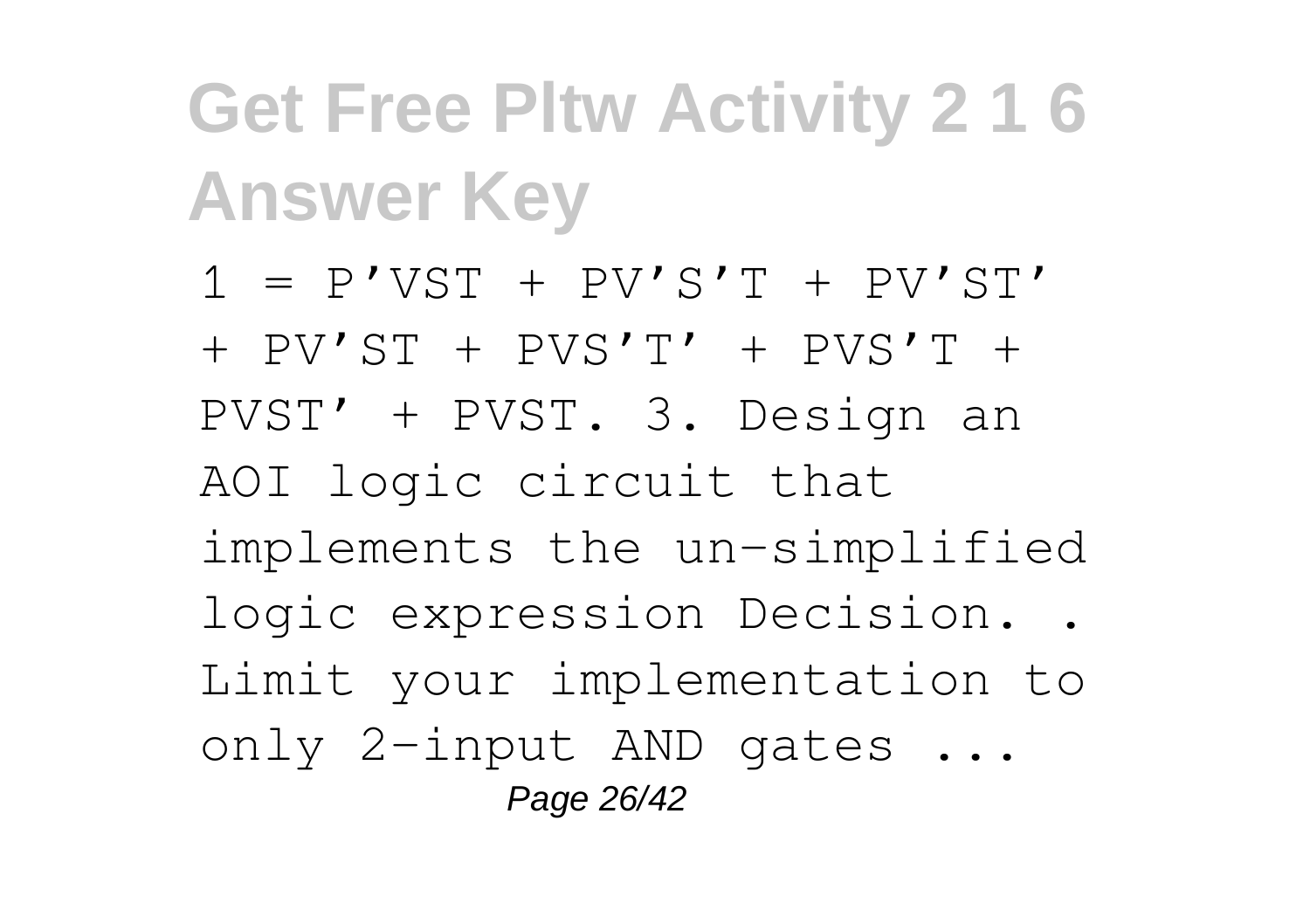$1 = P'VST + PV'S'T + PV'S'T'$ + PV'ST + PVS'T' + PVS'T + PVST' + PVST. 3. Design an AOI logic circuit that implements the un-simplified logic expression Decision. . Limit your implementation to only 2-input AND gates ... Page 26/42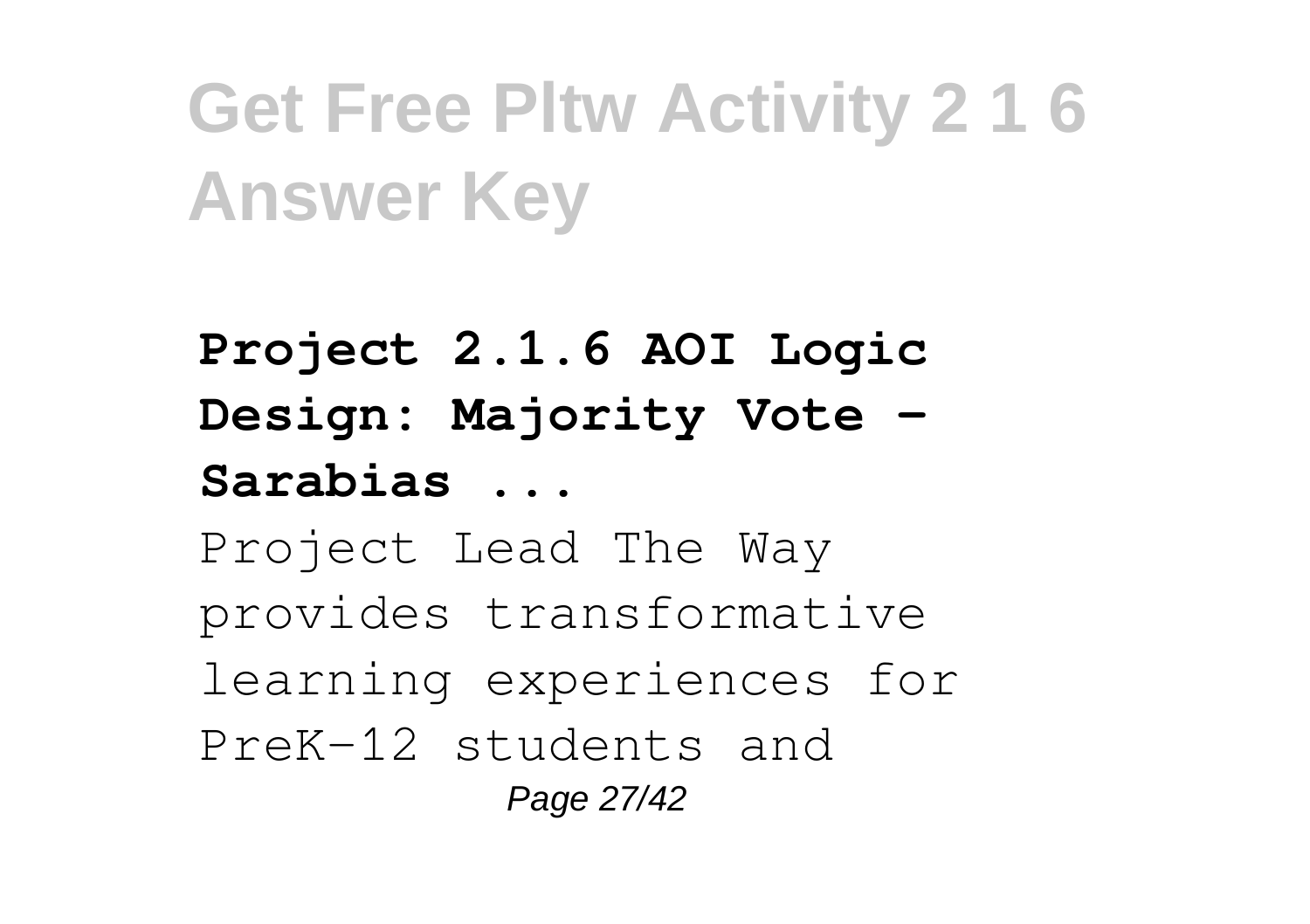**Project 2.1.6 AOI Logic Design: Majority Vote - Sarabias ...** Project Lead The Way provides transformative learning experiences for PreK-12 students and Page 27/42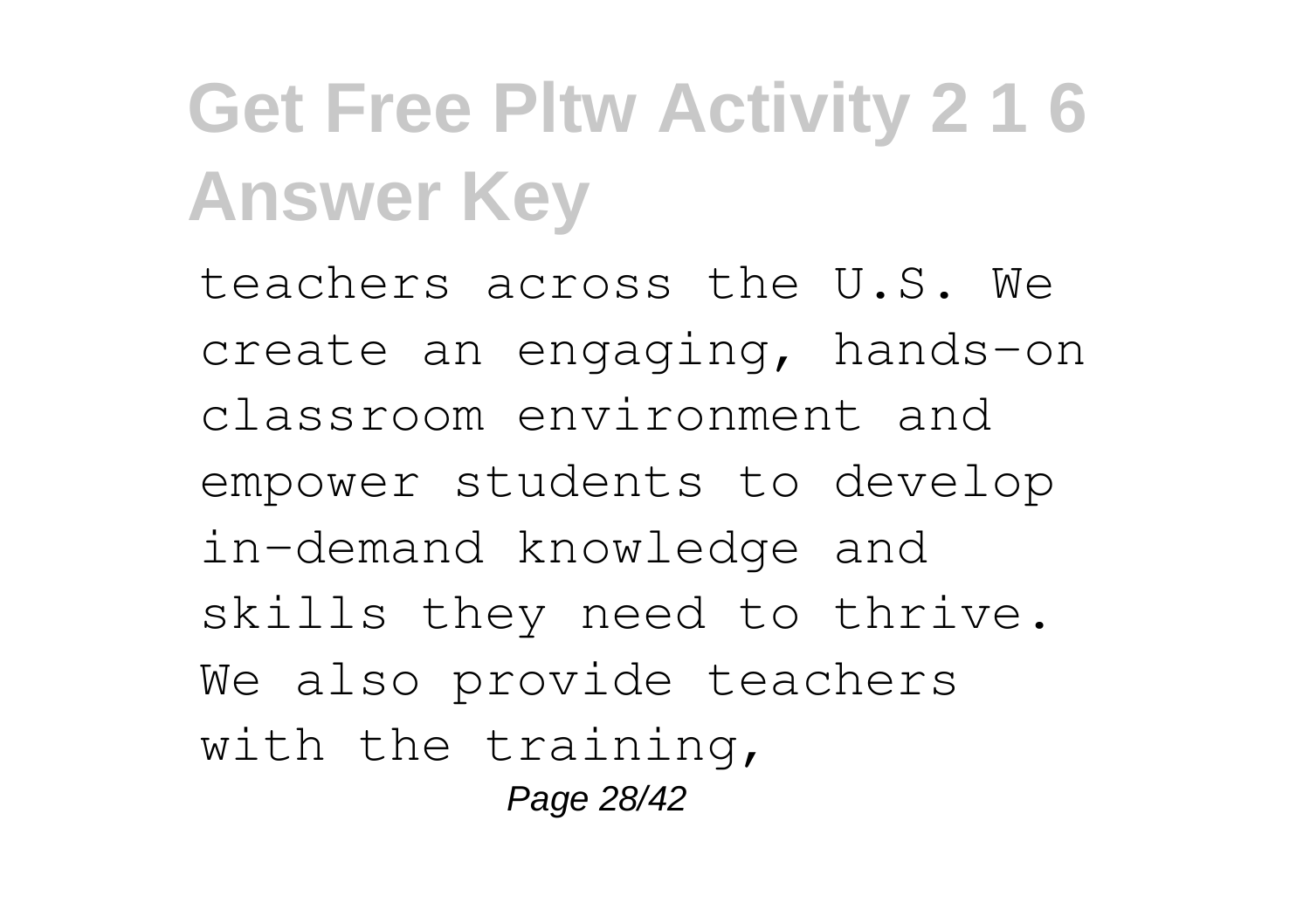teachers across the U.S. We create an engaging, hands-on classroom environment and empower students to develop in-demand knowledge and skills they need to thrive. We also provide teachers with the training, Page 28/42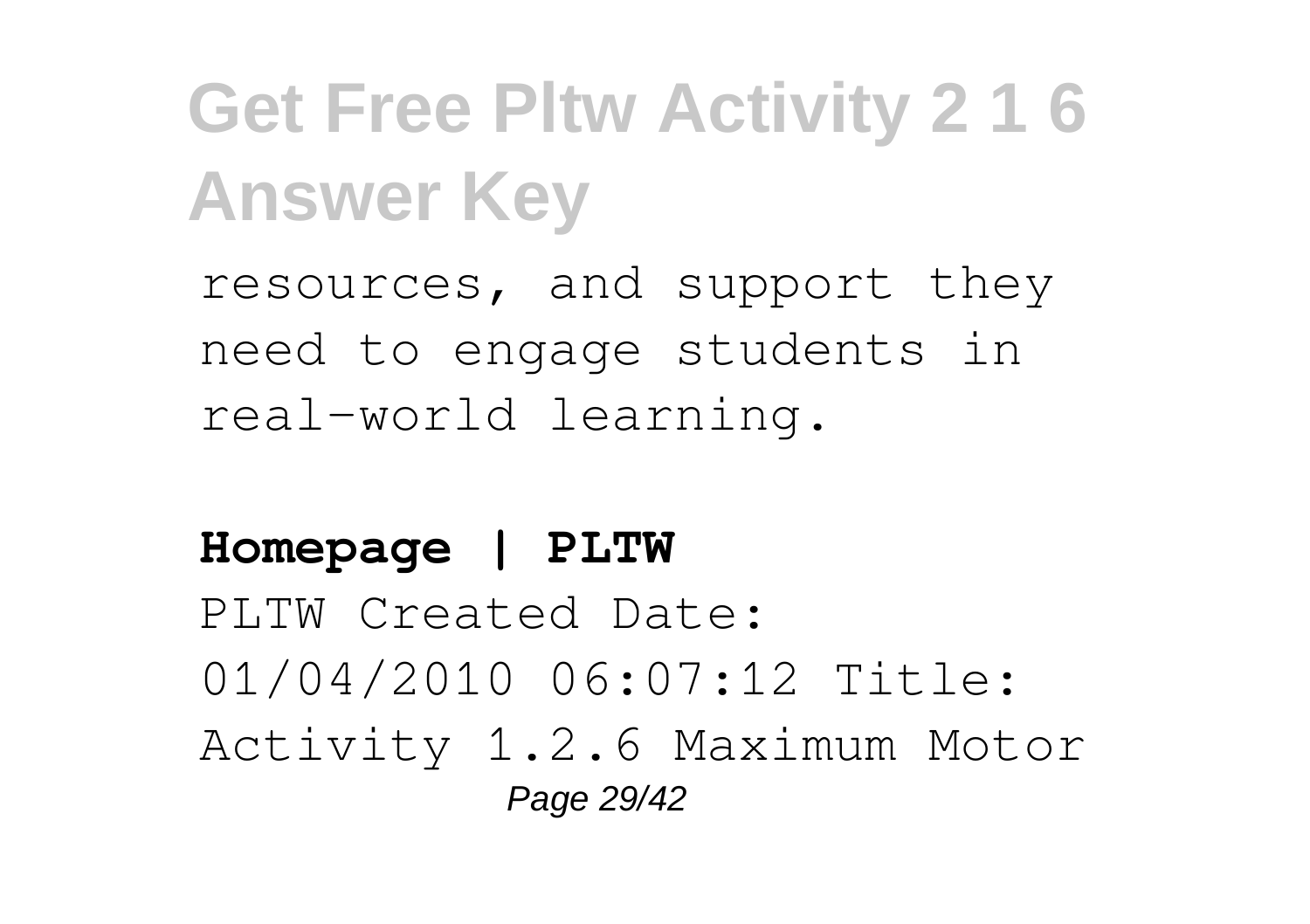resources, and support they need to engage students in real-world learning.

### **Homepage | PLTW** PLTW Created Date: 01/04/2010 06:07:12 Title: Activity 1.2.6 Maximum Motor Page 29/42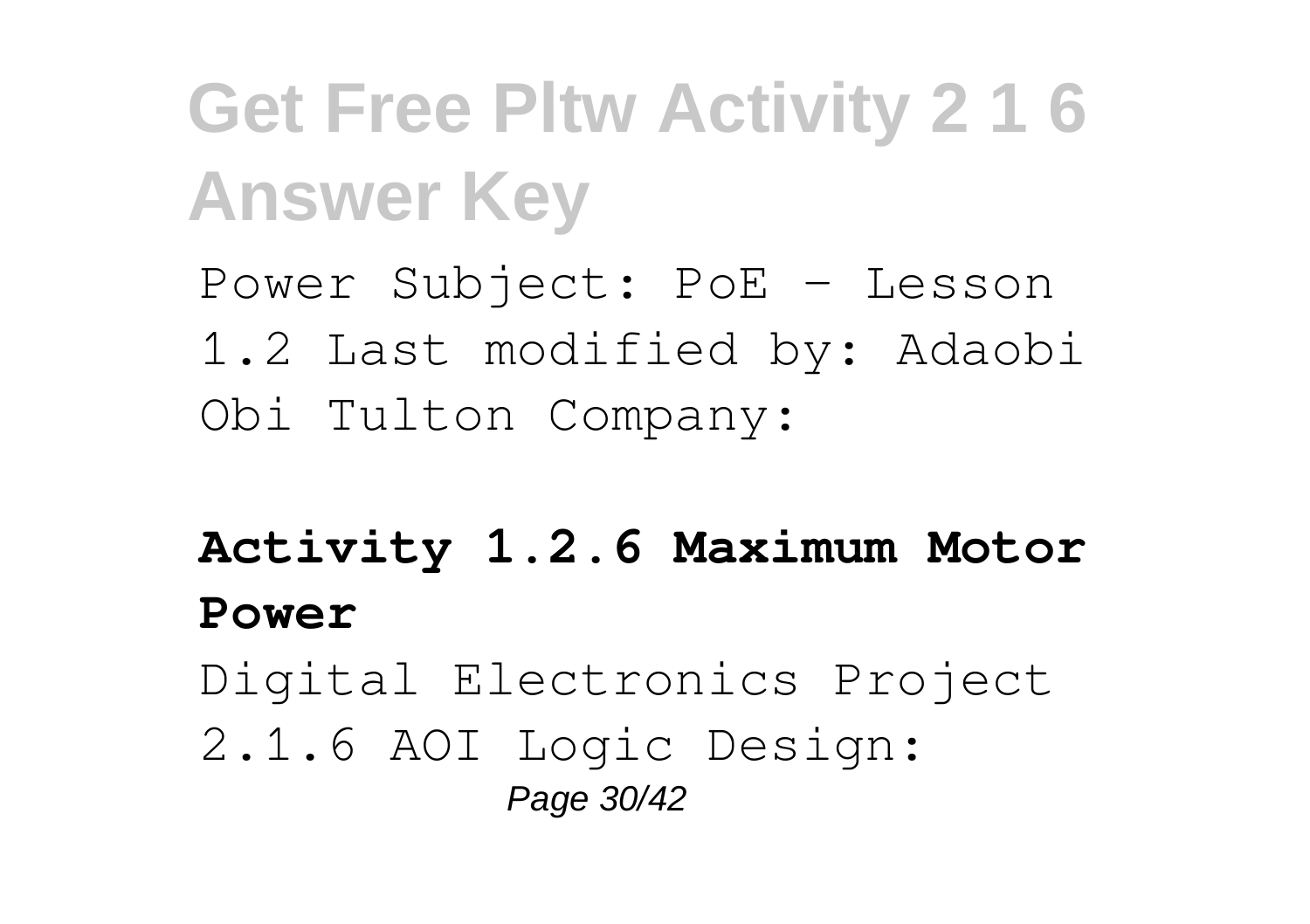Power Subject: PoE - Lesson 1.2 Last modified by: Adaobi Obi Tulton Company:

**Activity 1.2.6 Maximum Motor Power**

Digital Electronics Project 2.1.6 AOI Logic Design:

Page 30/42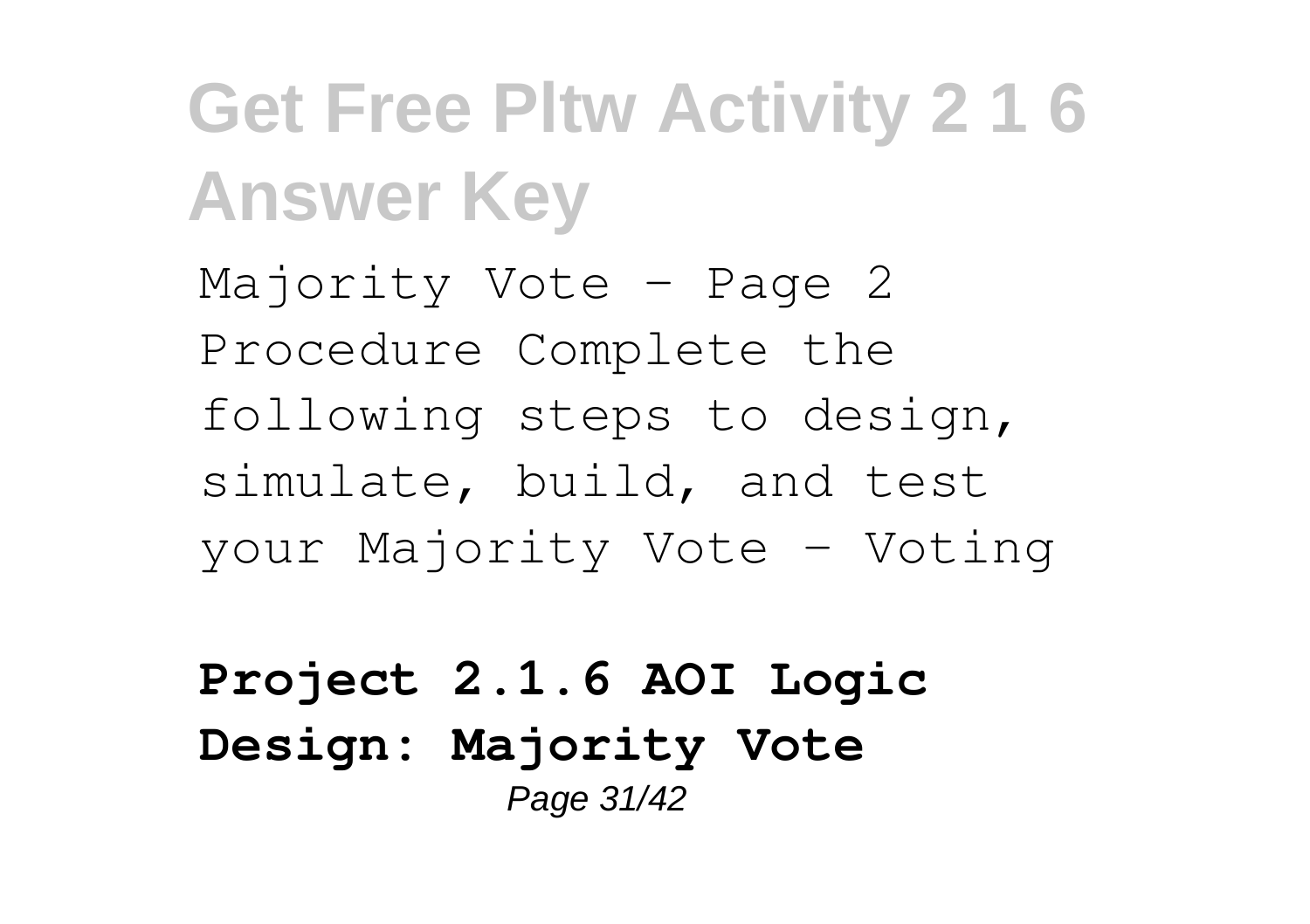Majority Vote – Page 2 Procedure Complete the following steps to design, simulate, build, and test your Majority Vote - Voting

**Project 2.1.6 AOI Logic Design: Majority Vote** Page 31/42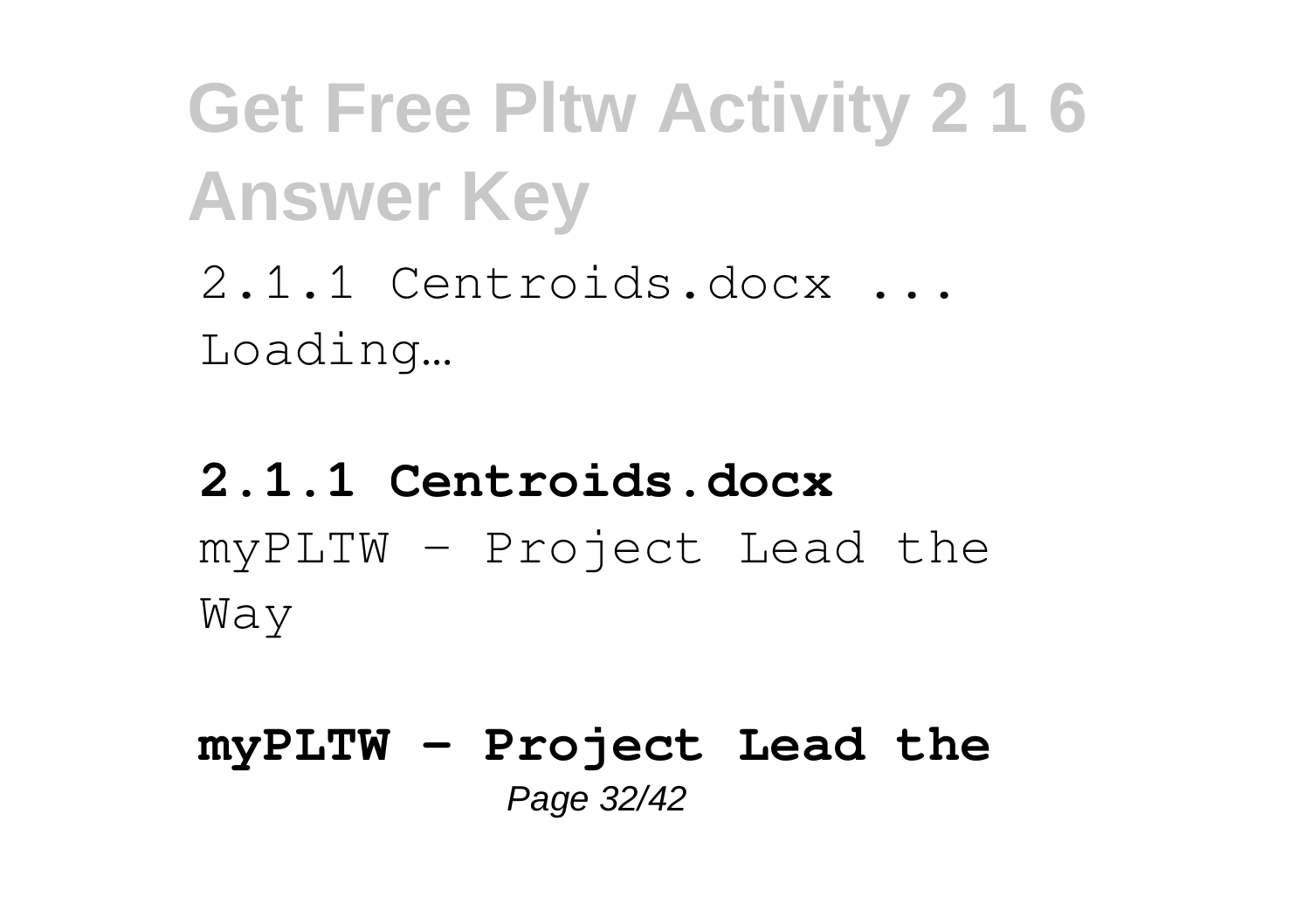2.1.1 Centroids.docx ... Loading…

## **2.1.1 Centroids.docx** myPLTW - Project Lead the Way

**myPLTW - Project Lead the** Page 32/42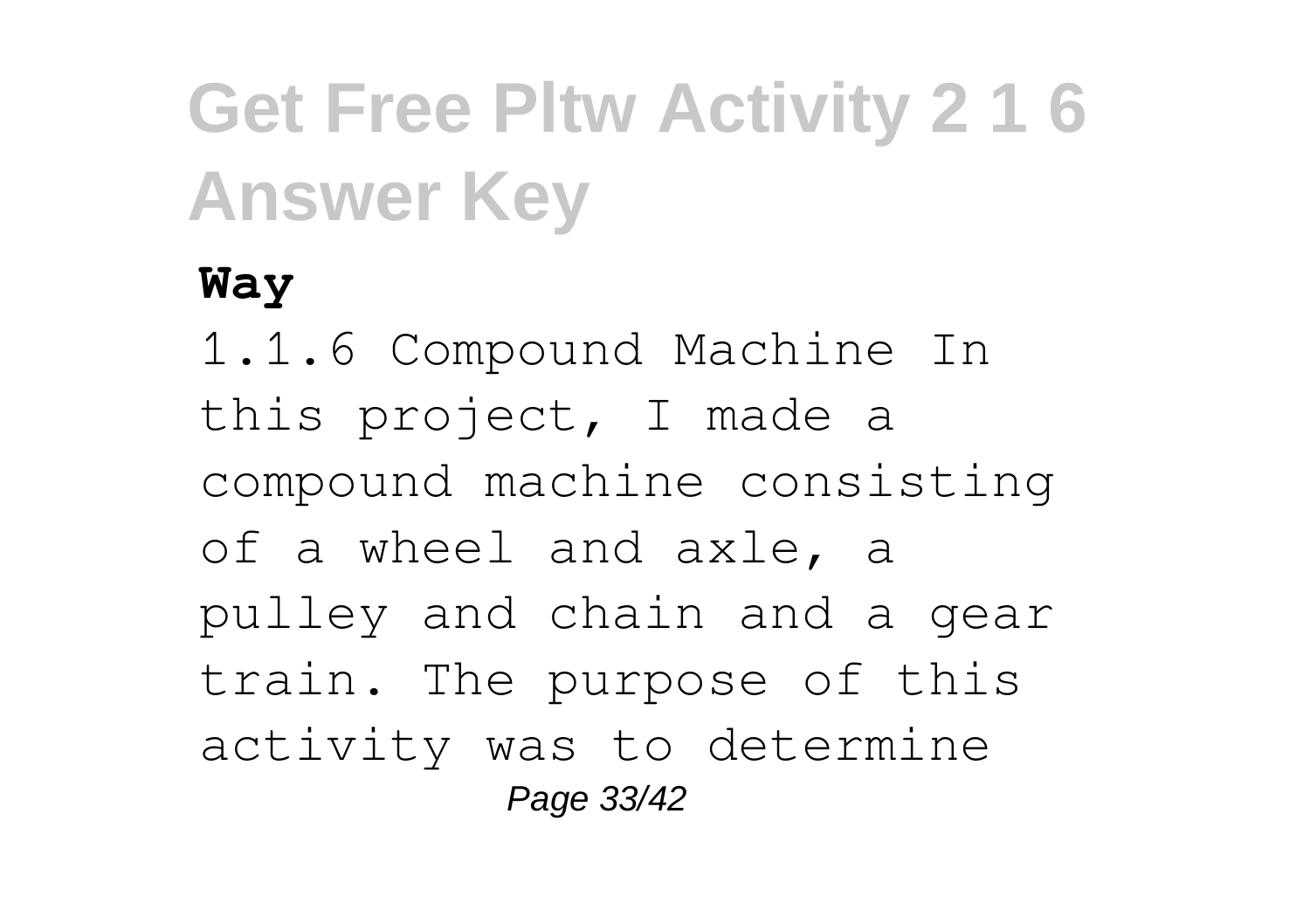#### **Way**

1.1.6 Compound Machine In this project, I made a compound machine consisting of a wheel and axle, a pulley and chain and a gear train. The purpose of this activity was to determine Page 33/42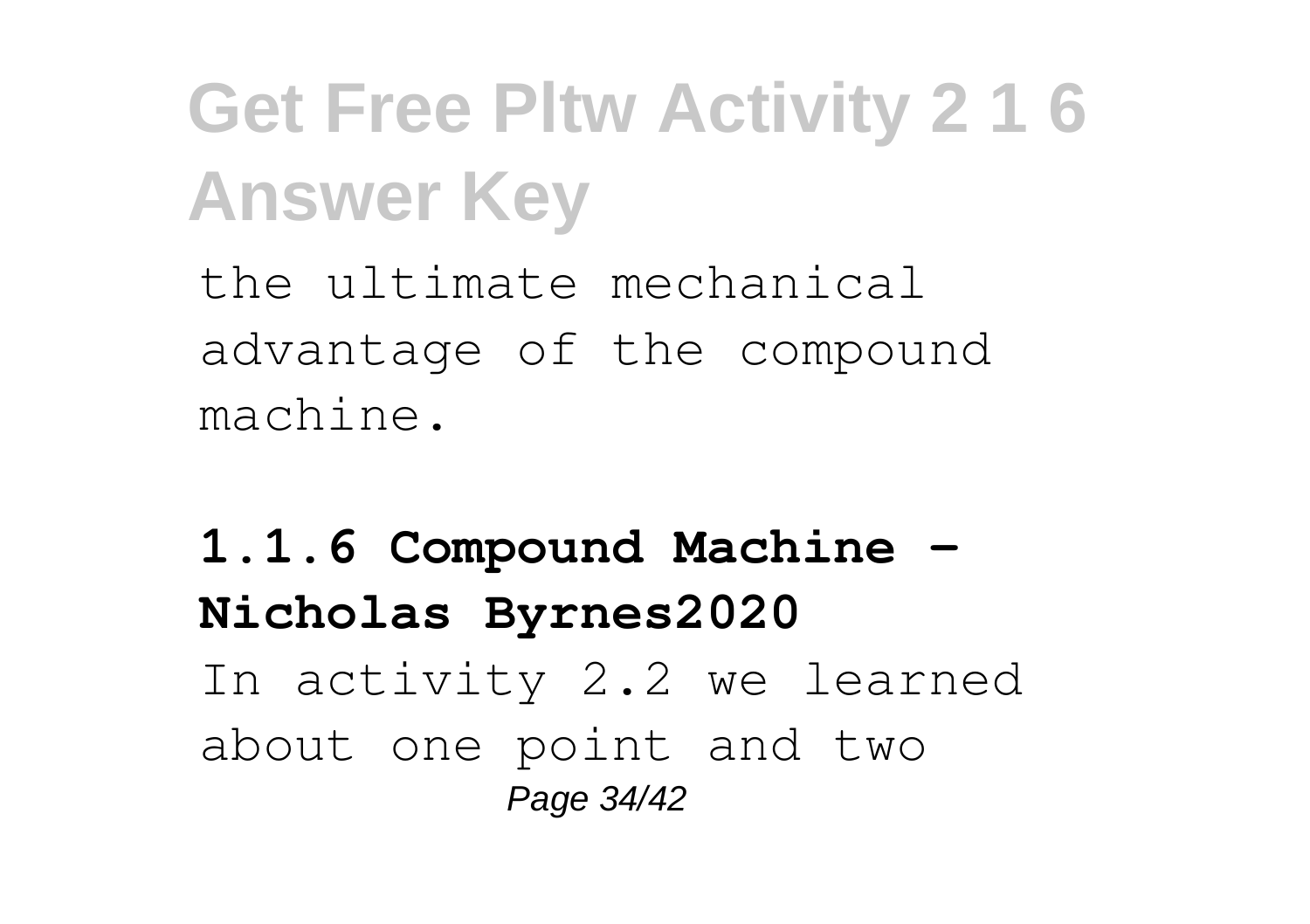the ultimate mechanical advantage of the compound machine.

**1.1.6 Compound Machine - Nicholas Byrnes2020** In activity 2.2 we learned about one point and two Page 34/42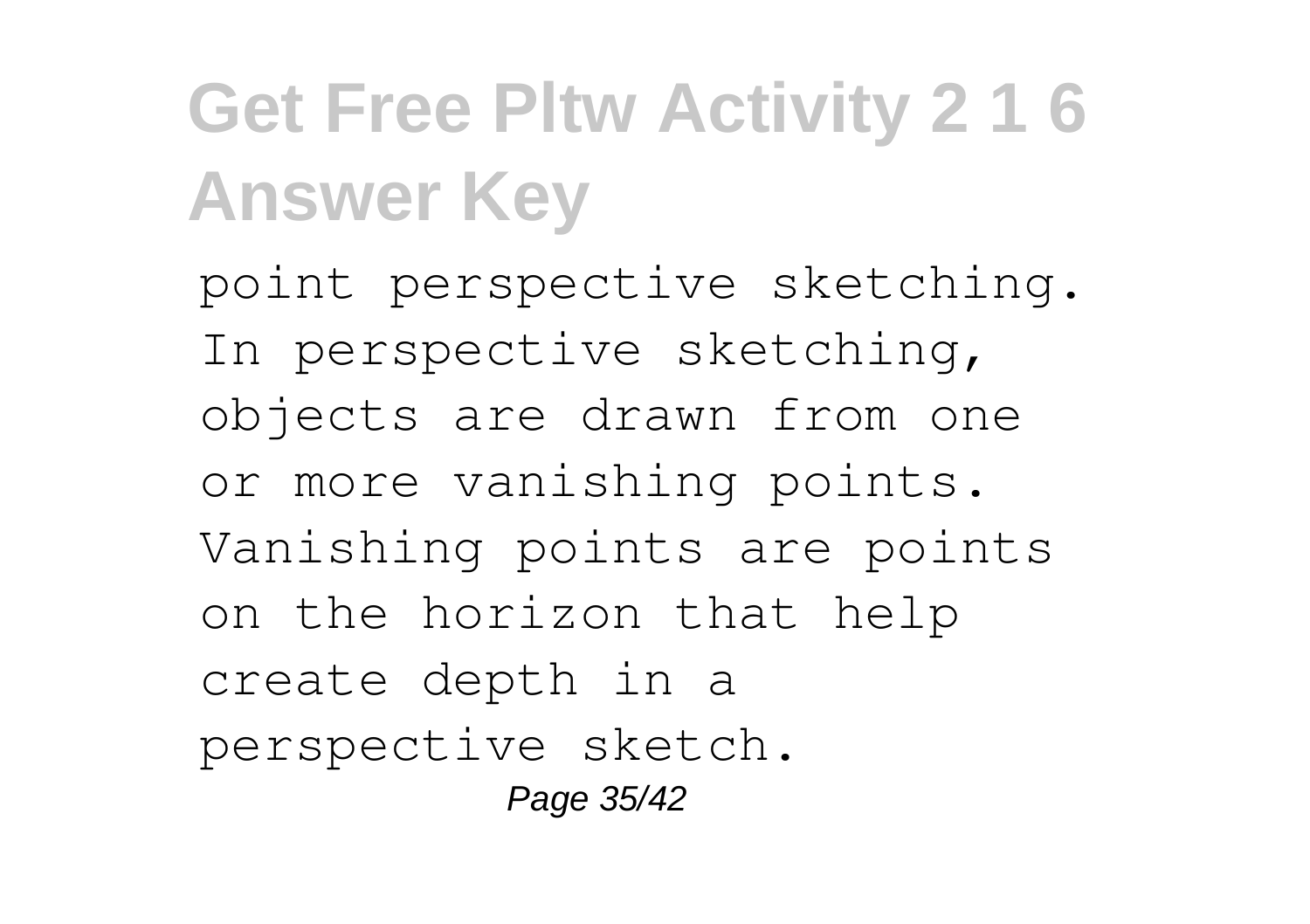point perspective sketching. In perspective sketching, objects are drawn from one or more vanishing points. Vanishing points are points on the horizon that help create depth in a perspective sketch. Page 35/42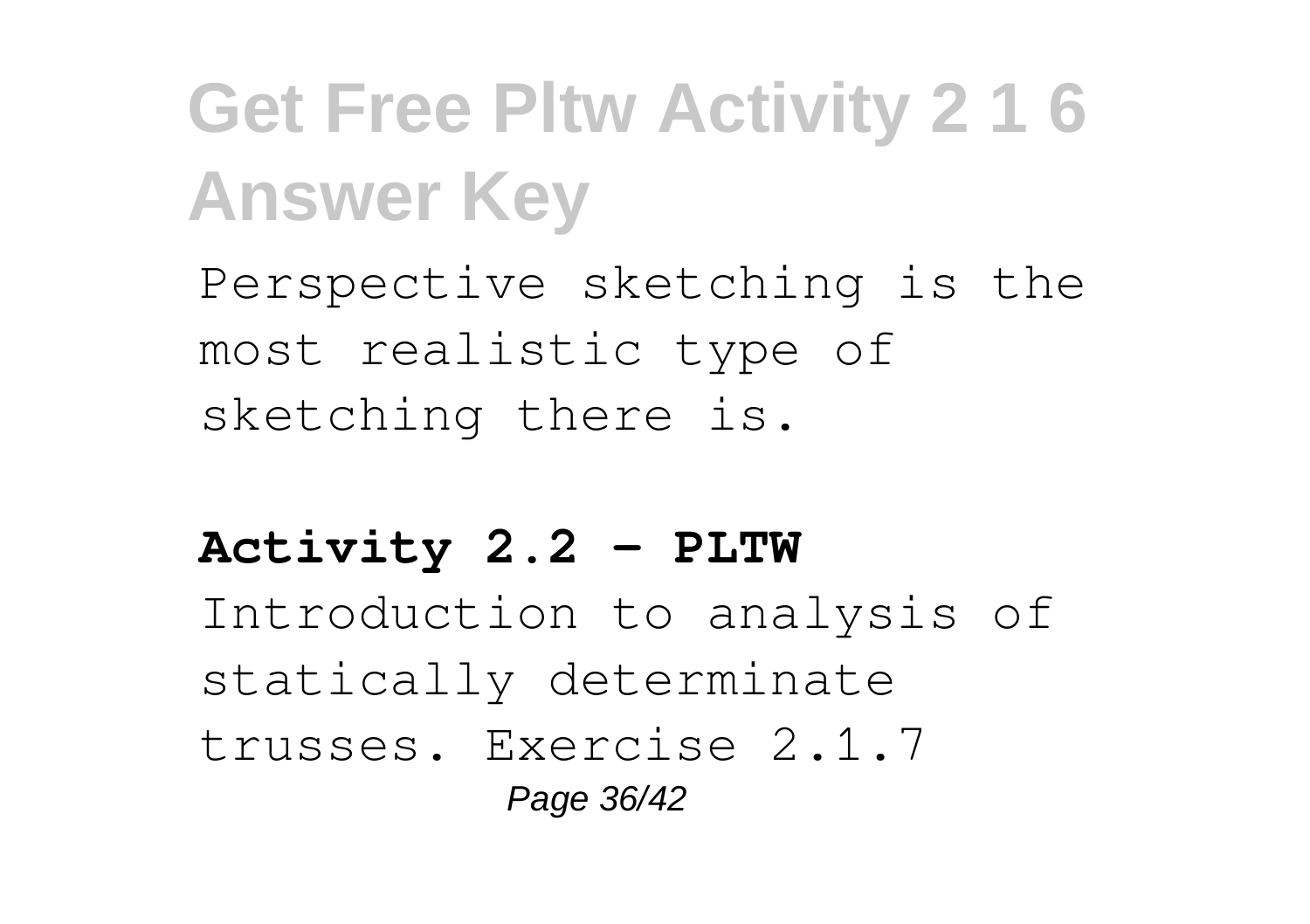Perspective sketching is the most realistic type of sketching there is.

### **Activity 2.2 - PLTW**

Introduction to analysis of statically determinate trusses. Exercise 2.1.7

Page 36/42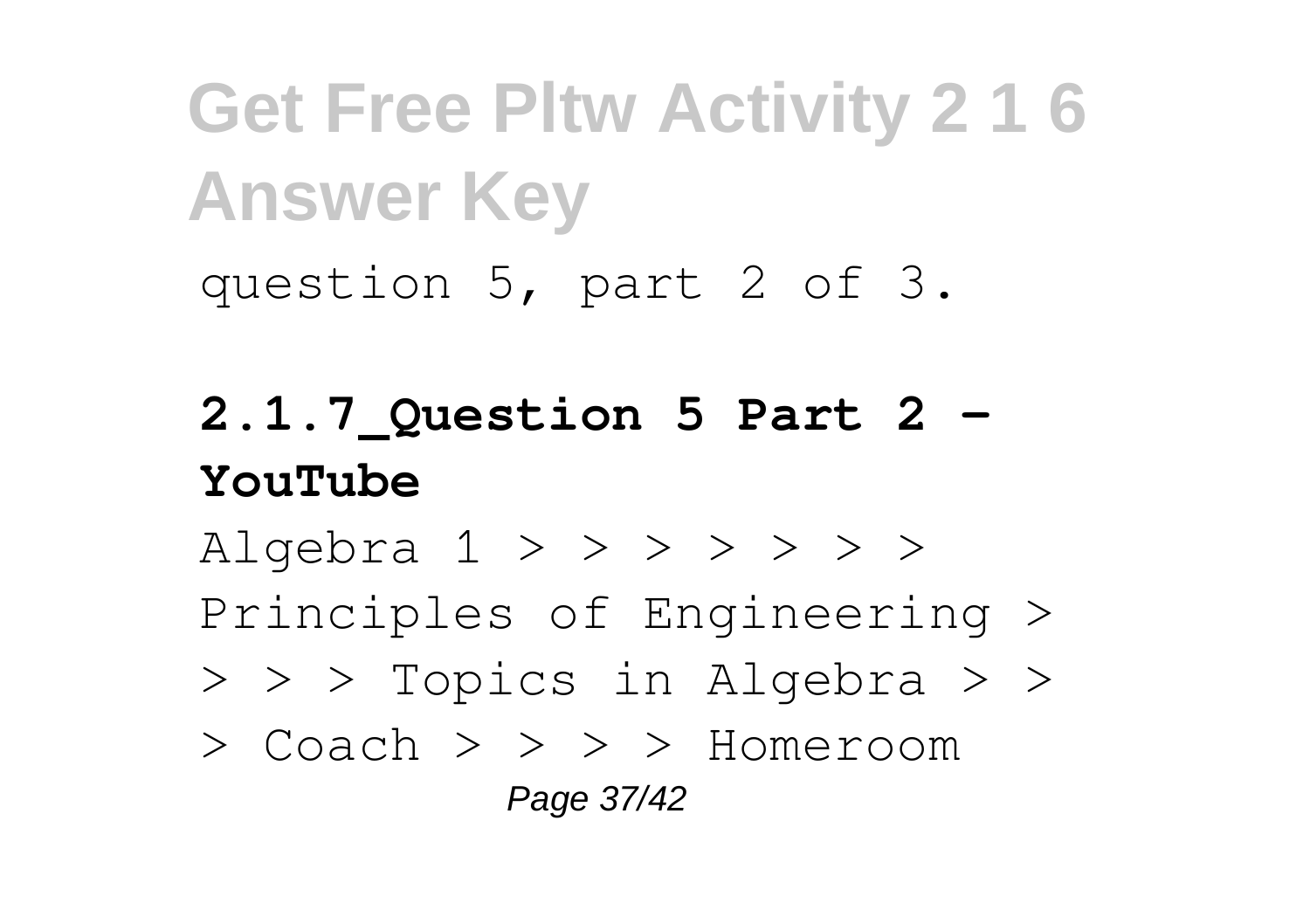question 5, part 2 of 3.

## **2.1.7\_Question 5 Part 2 - YouTube**

Algebra  $1 > > > > > > >$ Principles of Engineering >

- > > > Topics in Algebra > >
- > Coach > > > > Homeroom Page 37/42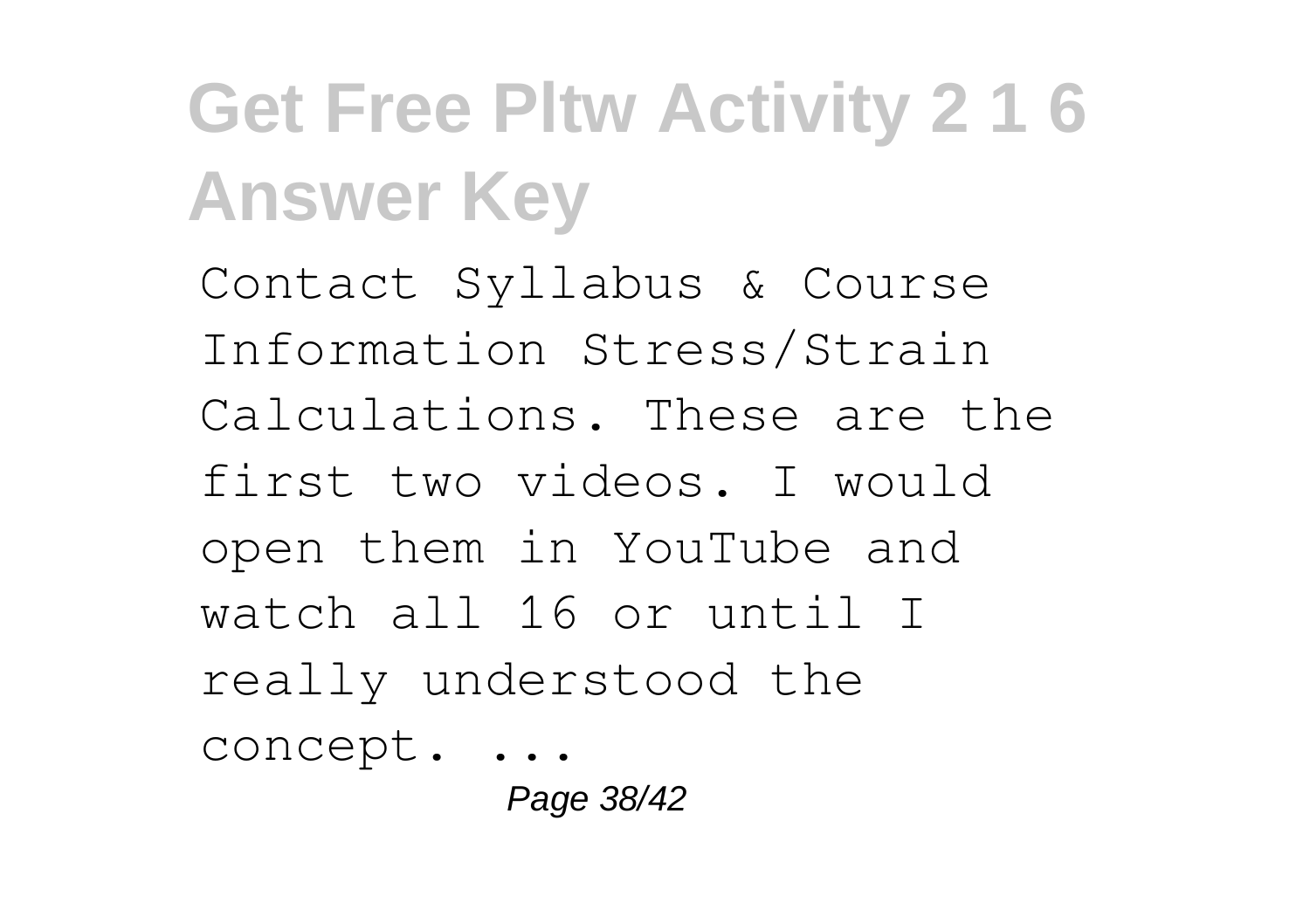Contact Syllabus & Course Information Stress/Strain Calculations. These are the first two videos. I would open them in YouTube and watch all 16 or until I really understood the concept. ...

Page 38/42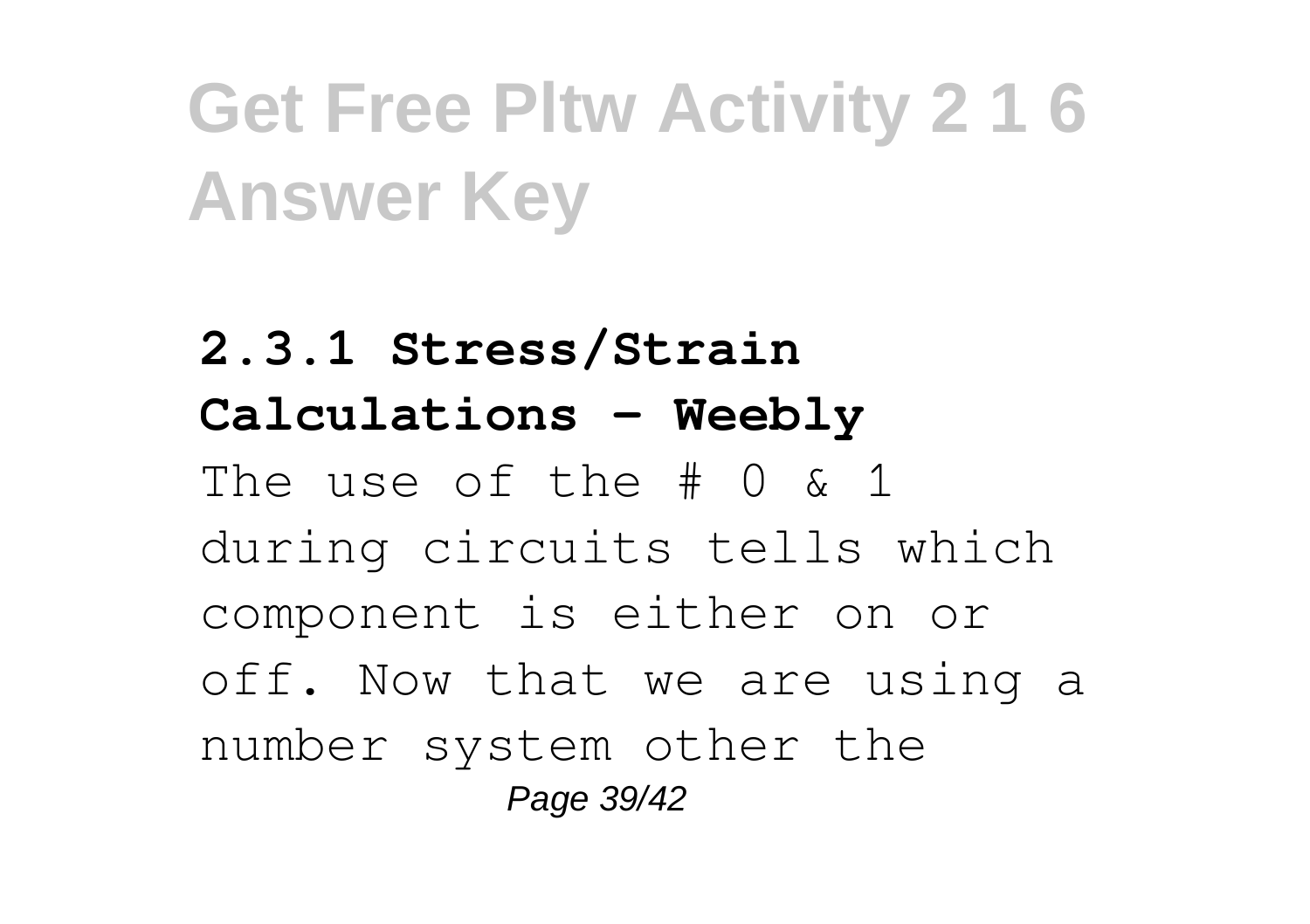**2.3.1 Stress/Strain Calculations - Weebly** The use of the # 0 & 1 during circuits tells which component is either on or off. Now that we are using a number system other the Page 39/42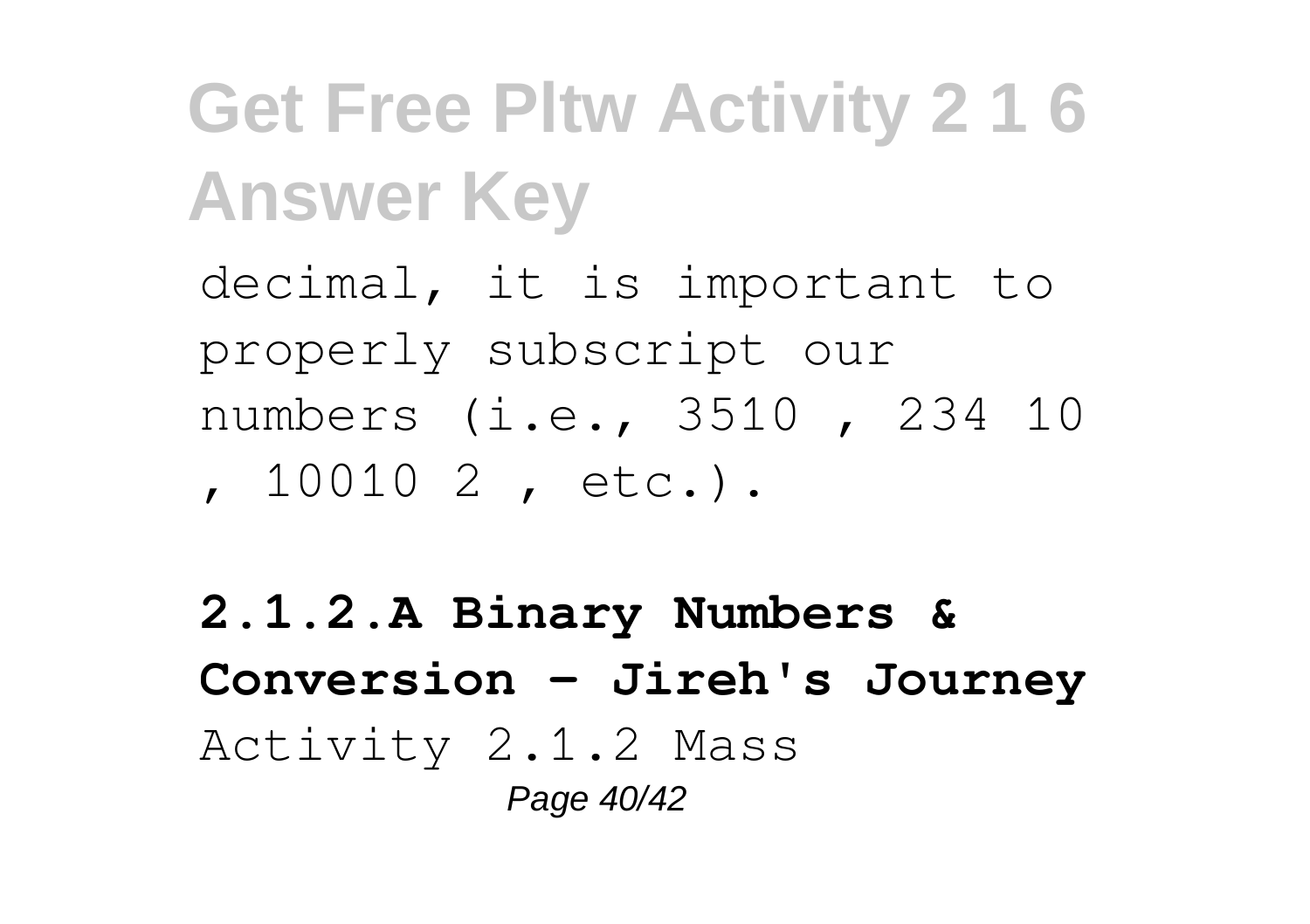decimal, it is important to properly subscript our numbers (i.e., 3510 , 234 10 , 10010 2 , etc.).

**2.1.2.A Binary Numbers & Conversion - Jireh's Journey** Activity 2.1.2 Mass Page 40/42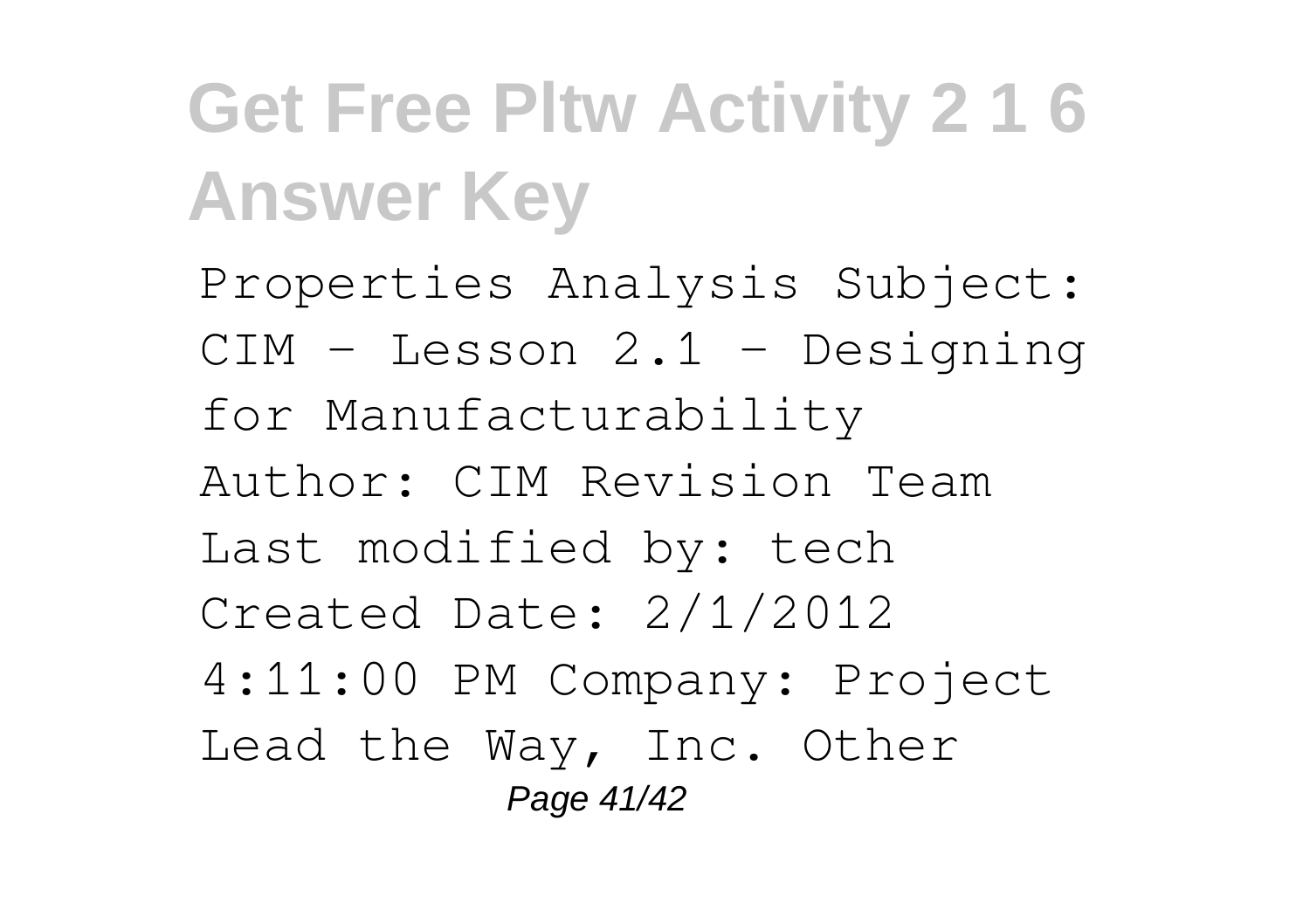Properties Analysis Subject: CIM - Lesson 2.1 - Designing for Manufacturability Author: CIM Revision Team Last modified by: tech Created Date: 2/1/2012 4:11:00 PM Company: Project Lead the Way, Inc. Other Page 41/42